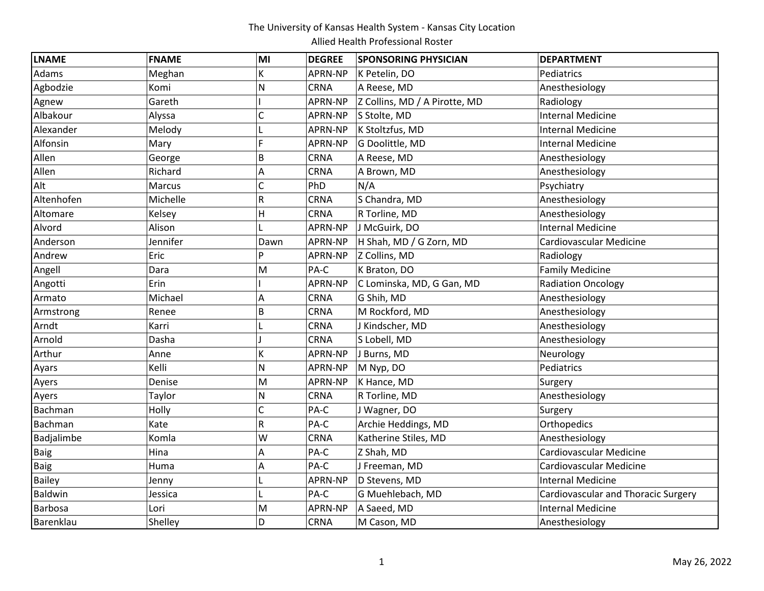| <b>LNAME</b>  | <b>FNAME</b> | MI           | <b>DEGREE</b> | <b>SPONSORING PHYSICIAN</b>   | <b>DEPARTMENT</b>                          |
|---------------|--------------|--------------|---------------|-------------------------------|--------------------------------------------|
| Adams         | Meghan       | K            | APRN-NP       | K Petelin, DO                 | Pediatrics                                 |
| Agbodzie      | Komi         | N            | CRNA          | A Reese, MD                   | Anesthesiology                             |
| Agnew         | Gareth       |              | APRN-NP       | Z Collins, MD / A Pirotte, MD | Radiology                                  |
| Albakour      | Alyssa       | Ċ            | APRN-NP       | S Stolte, MD                  | <b>Internal Medicine</b>                   |
| Alexander     | Melody       |              | APRN-NP       | K Stoltzfus, MD               | <b>Internal Medicine</b>                   |
| Alfonsin      | Mary         | E            | APRN-NP       | G Doolittle, MD               | <b>Internal Medicine</b>                   |
| Allen         | George       | B            | <b>CRNA</b>   | A Reese, MD                   | Anesthesiology                             |
| Allen         | Richard      | Α            | <b>CRNA</b>   | A Brown, MD                   | Anesthesiology                             |
| Alt           | Marcus       | C            | PhD           | N/A                           | Psychiatry                                 |
| Altenhofen    | Michelle     | R            | CRNA          | S Chandra, MD                 | Anesthesiology                             |
| Altomare      | Kelsey       | Η            | CRNA          | R Torline, MD                 | Anesthesiology                             |
| Alvord        | Alison       |              | APRN-NP       | J McGuirk, DO                 | <b>Internal Medicine</b>                   |
| Anderson      | Jennifer     | Dawn         | APRN-NP       | H Shah, MD / G Zorn, MD       | Cardiovascular Medicine                    |
| Andrew        | Eric         | P            | APRN-NP       | Z Collins, MD                 | Radiology                                  |
| Angell        | Dara         | M            | PA-C          | K Braton, DO                  | <b>Family Medicine</b>                     |
| Angotti       | Erin         |              | APRN-NP       | C Lominska, MD, G Gan, MD     | <b>Radiation Oncology</b>                  |
| Armato        | Michael      | A            | <b>CRNA</b>   | G Shih, MD                    | Anesthesiology                             |
| Armstrong     | Renee        | B            | <b>CRNA</b>   | M Rockford, MD                | Anesthesiology                             |
| Arndt         | Karri        | L            | CRNA          | J Kindscher, MD               | Anesthesiology                             |
| Arnold        | Dasha        |              | CRNA          | S Lobell, MD                  | Anesthesiology                             |
| Arthur        | Anne         | K            | APRN-NP       | J Burns, MD                   | Neurology                                  |
| Ayars         | Kelli        | N            | APRN-NP       | M Nyp, DO                     | Pediatrics                                 |
| Ayers         | Denise       | M            | APRN-NP       | K Hance, MD                   | Surgery                                    |
| Ayers         | Taylor       | N            | <b>CRNA</b>   | R Torline, MD                 | Anesthesiology                             |
| Bachman       | Holly        | $\mathsf{C}$ | PA-C          | J Wagner, DO                  | Surgery                                    |
| Bachman       | Kate         | R            | PA-C          | Archie Heddings, MD           | Orthopedics                                |
| Badjalimbe    | Komla        | W            | CRNA          | Katherine Stiles, MD          | Anesthesiology                             |
| <b>Baig</b>   | Hina         | Α            | PA-C          | Z Shah, MD                    | Cardiovascular Medicine                    |
| Baig          | Huma         | Α            | PA-C          | J Freeman, MD                 | Cardiovascular Medicine                    |
| <b>Bailey</b> | Jenny        | L            | APRN-NP       | D Stevens, MD                 | <b>Internal Medicine</b>                   |
| Baldwin       | Jessica      |              | PA-C          | G Muehlebach, MD              | <b>Cardiovascular and Thoracic Surgery</b> |
| Barbosa       | Lori         | M            | APRN-NP       | A Saeed, MD                   | <b>Internal Medicine</b>                   |
| Barenklau     | Shelley      | D            | <b>CRNA</b>   | M Cason, MD                   | Anesthesiology                             |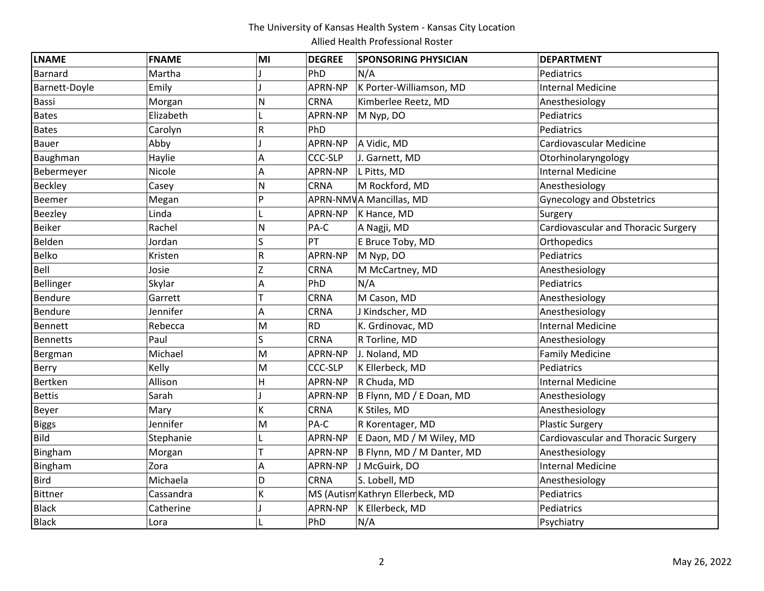| <b>LNAME</b>     | <b>FNAME</b> | MI | <b>DEGREE</b>  | <b>SPONSORING PHYSICIAN</b>      | <b>DEPARTMENT</b>                   |
|------------------|--------------|----|----------------|----------------------------------|-------------------------------------|
| Barnard          | Martha       |    | PhD            | N/A                              | Pediatrics                          |
| Barnett-Doyle    | Emily        |    | APRN-NP        | K Porter-Williamson, MD          | <b>Internal Medicine</b>            |
| Bassi            | Morgan       | N  | <b>CRNA</b>    | Kimberlee Reetz, MD              | Anesthesiology                      |
| <b>Bates</b>     | Elizabeth    |    | APRN-NP        | M Nyp, DO                        | Pediatrics                          |
| <b>Bates</b>     | Carolyn      | R  | PhD            |                                  | Pediatrics                          |
| <b>Bauer</b>     | Abby         |    | APRN-NP        | A Vidic, MD                      | Cardiovascular Medicine             |
| Baughman         | Haylie       | А  | <b>CCC-SLP</b> | J. Garnett, MD                   | Otorhinolaryngology                 |
| Bebermeyer       | Nicole       | Α  | APRN-NP        | L Pitts, MD                      | <b>Internal Medicine</b>            |
| <b>Beckley</b>   | Casey        | N  | CRNA           | M Rockford, MD                   | Anesthesiology                      |
| Beemer           | Megan        | P  |                | APRN-NMVA Mancillas, MD          | <b>Gynecology and Obstetrics</b>    |
| <b>Beezley</b>   | Linda        |    | APRN-NP        | K Hance, MD                      | Surgery                             |
| <b>Beiker</b>    | Rachel       | N  | PA-C           | A Nagji, MD                      | Cardiovascular and Thoracic Surgery |
| Belden           | Jordan       | S  | PT             | E Bruce Toby, MD                 | Orthopedics                         |
| Belko            | Kristen      | R  | APRN-NP        | M Nyp, DO                        | Pediatrics                          |
| Bell             | Josie        | Z  | CRNA           | M McCartney, MD                  | Anesthesiology                      |
| <b>Bellinger</b> | Skylar       | A  | PhD            | N/A                              | Pediatrics                          |
| Bendure          | Garrett      |    | CRNA           | M Cason, MD                      | Anesthesiology                      |
| Bendure          | Jennifer     | Α  | <b>CRNA</b>    | J Kindscher, MD                  | Anesthesiology                      |
| Bennett          | Rebecca      | M  | <b>RD</b>      | K. Grdinovac, MD                 | <b>Internal Medicine</b>            |
| <b>Bennetts</b>  | Paul         | S  | CRNA           | R Torline, MD                    | Anesthesiology                      |
| Bergman          | Michael      | M  | APRN-NP        | J. Noland, MD                    | <b>Family Medicine</b>              |
| Berry            | Kelly        | M  | <b>CCC-SLP</b> | K Ellerbeck, MD                  | Pediatrics                          |
| Bertken          | Allison      | H  | APRN-NP        | R Chuda, MD                      | <b>Internal Medicine</b>            |
| <b>Bettis</b>    | Sarah        |    | APRN-NP        | B Flynn, MD / E Doan, MD         | Anesthesiology                      |
| Beyer            | Mary         | K  | CRNA           | K Stiles, MD                     | Anesthesiology                      |
| <b>Biggs</b>     | Jennifer     | M  | PA-C           | R Korentager, MD                 | <b>Plastic Surgery</b>              |
| <b>Bild</b>      | Stephanie    |    | APRN-NP        | E Daon, MD / M Wiley, MD         | Cardiovascular and Thoracic Surgery |
| Bingham          | Morgan       |    | APRN-NP        | B Flynn, MD / M Danter, MD       | Anesthesiology                      |
| Bingham          | Zora         | Α  | APRN-NP        | J McGuirk, DO                    | <b>Internal Medicine</b>            |
| <b>Bird</b>      | Michaela     | D  | <b>CRNA</b>    | S. Lobell, MD                    | Anesthesiology                      |
| <b>Bittner</b>   | Cassandra    | K  |                | MS (Autism Kathryn Ellerbeck, MD | Pediatrics                          |
| <b>Black</b>     | Catherine    |    | APRN-NP        | K Ellerbeck, MD                  | Pediatrics                          |
| <b>Black</b>     | Lora         |    | PhD            | N/A                              | Psychiatry                          |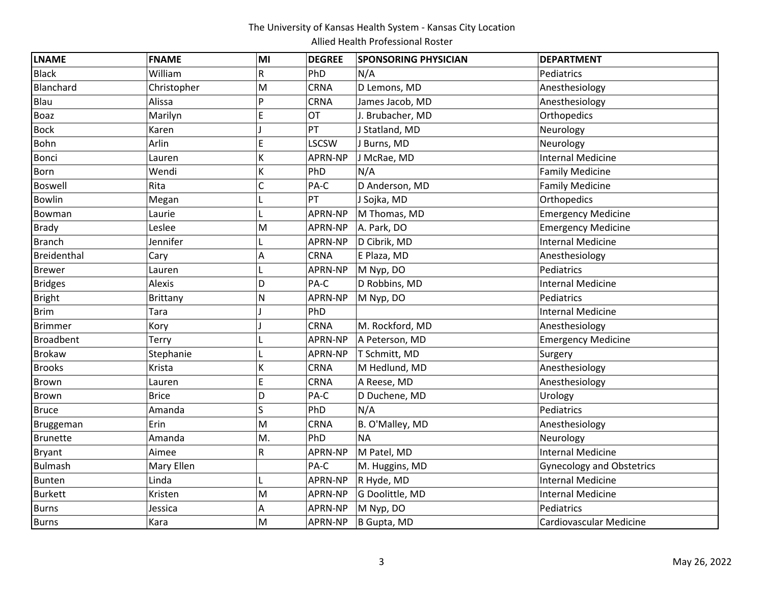| <b>LNAME</b>   | <b>FNAME</b> | MI | <b>DEGREE</b> | <b>SPONSORING PHYSICIAN</b> | <b>DEPARTMENT</b>                |
|----------------|--------------|----|---------------|-----------------------------|----------------------------------|
| <b>Black</b>   | William      | R  | PhD           | N/A                         | Pediatrics                       |
| Blanchard      | Christopher  | M  | <b>CRNA</b>   | D Lemons, MD                | Anesthesiology                   |
| Blau           | Alissa       | Þ  | <b>CRNA</b>   | James Jacob, MD             | Anesthesiology                   |
| Boaz           | Marilyn      | Ė  | OT            | J. Brubacher, MD            | Orthopedics                      |
| <b>Bock</b>    | Karen        |    | PT            | J Statland, MD              | Neurology                        |
| <b>Bohn</b>    | Arlin        | E  | <b>LSCSW</b>  | J Burns, MD                 | Neurology                        |
| <b>Bonci</b>   | Lauren       | K  | APRN-NP       | J McRae, MD                 | <b>Internal Medicine</b>         |
| <b>Born</b>    | Wendi        | K  | PhD           | N/A                         | <b>Family Medicine</b>           |
| Boswell        | Rita         | C  | PA-C          | D Anderson, MD              | <b>Family Medicine</b>           |
| <b>Bowlin</b>  | Megan        |    | PT            | J Sojka, MD                 | Orthopedics                      |
| Bowman         | Laurie       |    | APRN-NP       | M Thomas, MD                | <b>Emergency Medicine</b>        |
| <b>Brady</b>   | Leslee       | M  | APRN-NP       | A. Park, DO                 | <b>Emergency Medicine</b>        |
| <b>Branch</b>  | Jennifer     |    | APRN-NP       | D Cibrik, MD                | <b>Internal Medicine</b>         |
| Breidenthal    | Cary         | Α  | <b>CRNA</b>   | E Plaza, MD                 | Anesthesiology                   |
| <b>Brewer</b>  | Lauren       |    | APRN-NP       | M Nyp, DO                   | Pediatrics                       |
| <b>Bridges</b> | Alexis       | D  | PA-C          | D Robbins, MD               | <b>Internal Medicine</b>         |
| <b>Bright</b>  | Brittany     | N  | APRN-NP       | M Nyp, DO                   | Pediatrics                       |
| <b>Brim</b>    | Tara         |    | PhD           |                             | <b>Internal Medicine</b>         |
| <b>Brimmer</b> | Kory         |    | <b>CRNA</b>   | M. Rockford, MD             | Anesthesiology                   |
| Broadbent      | Terry        |    | APRN-NP       | A Peterson, MD              | <b>Emergency Medicine</b>        |
| <b>Brokaw</b>  | Stephanie    |    | APRN-NP       | T Schmitt, MD               | Surgery                          |
| <b>Brooks</b>  | Krista       | K  | <b>CRNA</b>   | M Hedlund, MD               | Anesthesiology                   |
| <b>Brown</b>   | Lauren       | E  | <b>CRNA</b>   | A Reese, MD                 | Anesthesiology                   |
| <b>Brown</b>   | <b>Brice</b> | D  | PA-C          | D Duchene, MD               | Urology                          |
| <b>Bruce</b>   | Amanda       | Ś  | PhD           | N/A                         | Pediatrics                       |
| Bruggeman      | Erin         | M  | <b>CRNA</b>   | B. O'Malley, MD             | Anesthesiology                   |
| Brunette       | Amanda       | M. | PhD           | <b>NA</b>                   | Neurology                        |
| <b>Bryant</b>  | Aimee        | R  | APRN-NP       | M Patel, MD                 | <b>Internal Medicine</b>         |
| <b>Bulmash</b> | Mary Ellen   |    | PA-C          | M. Huggins, MD              | <b>Gynecology and Obstetrics</b> |
| <b>Bunten</b>  | Linda        |    | APRN-NP       | R Hyde, MD                  | <b>Internal Medicine</b>         |
| <b>Burkett</b> | Kristen      | M  | APRN-NP       | G Doolittle, MD             | <b>Internal Medicine</b>         |
| <b>Burns</b>   | Jessica      | A  | APRN-NP       | M Nyp, DO                   | Pediatrics                       |
| <b>Burns</b>   | Kara         | M  | APRN-NP       | B Gupta, MD                 | Cardiovascular Medicine          |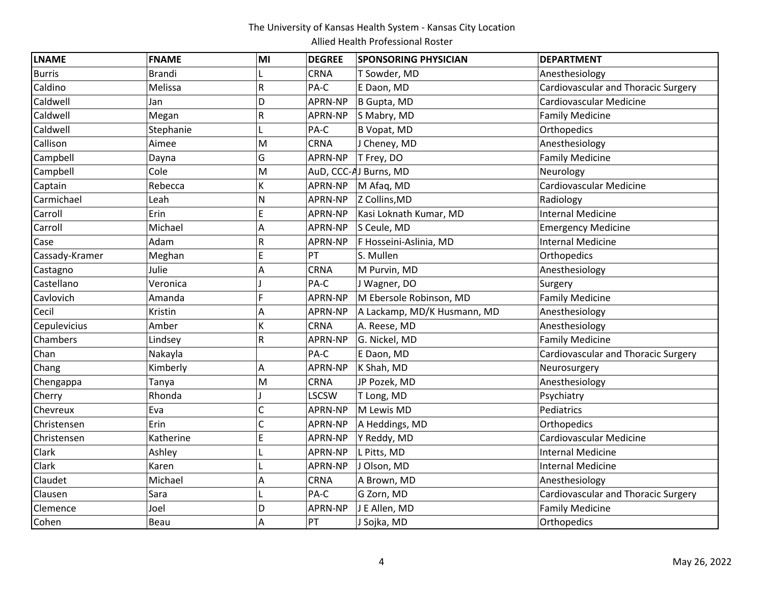| <b>LNAME</b>   | <b>FNAME</b>  | MI             | <b>DEGREE</b>  | <b>SPONSORING PHYSICIAN</b> | <b>DEPARTMENT</b>                          |
|----------------|---------------|----------------|----------------|-----------------------------|--------------------------------------------|
| <b>Burris</b>  | <b>Brandi</b> |                | <b>CRNA</b>    | T Sowder, MD                | Anesthesiology                             |
| Caldino        | Melissa       | R              | PA-C           | E Daon, MD                  | <b>Cardiovascular and Thoracic Surgery</b> |
| Caldwell       | Jan           | D              | APRN-NP        | B Gupta, MD                 | Cardiovascular Medicine                    |
| Caldwell       | Megan         | R              | APRN-NP        | S Mabry, MD                 | <b>Family Medicine</b>                     |
| Caldwell       | Stephanie     |                | PA-C           | B Vopat, MD                 | Orthopedics                                |
| Callison       | Aimee         | M              | <b>CRNA</b>    | J Cheney, MD                | Anesthesiology                             |
| Campbell       | Dayna         | G              | APRN-NP        | T Frey, DO                  | <b>Family Medicine</b>                     |
| Campbell       | Cole          | M              |                | AuD, CCC-AJ Burns, MD       | Neurology                                  |
| Captain        | Rebecca       | K              | APRN-NP        | M Afaq, MD                  | <b>Cardiovascular Medicine</b>             |
| Carmichael     | Leah          | N              | APRN-NP        | Z Collins, MD               | Radiology                                  |
| Carroll        | Erin          | E              | APRN-NP        | Kasi Loknath Kumar, MD      | <b>Internal Medicine</b>                   |
| Carroll        | Michael       | A              | APRN-NP        | S Ceule, MD                 | <b>Emergency Medicine</b>                  |
| Case           | Adam          | R              | APRN-NP        | F Hosseini-Aslinia, MD      | <b>Internal Medicine</b>                   |
| Cassady-Kramer | Meghan        | E              | PT             | S. Mullen                   | Orthopedics                                |
| Castagno       | Julie         | Α              | CRNA           | M Purvin, MD                | Anesthesiology                             |
| Castellano     | Veronica      |                | PA-C           | J Wagner, DO                | Surgery                                    |
| Cavlovich      | Amanda        | Ë              | APRN-NP        | M Ebersole Robinson, MD     | <b>Family Medicine</b>                     |
| Cecil          | Kristin       | A              | APRN-NP        | A Lackamp, MD/K Husmann, MD | Anesthesiology                             |
| Cepulevicius   | Amber         | K              | <b>CRNA</b>    | A. Reese, MD                | Anesthesiology                             |
| Chambers       | Lindsey       | R              | APRN-NP        | G. Nickel, MD               | <b>Family Medicine</b>                     |
| Chan           | Nakayla       |                | PA-C           | E Daon, MD                  | Cardiovascular and Thoracic Surgery        |
| Chang          | Kimberly      | A              | APRN-NP        | K Shah, MD                  | Neurosurgery                               |
| Chengappa      | Tanya         | M              | <b>CRNA</b>    | JP Pozek, MD                | Anesthesiology                             |
| Cherry         | Rhonda        |                | LSCSW          | T Long, MD                  | Psychiatry                                 |
| Chevreux       | Eva           | C              | <b>APRN-NP</b> | M Lewis MD                  | Pediatrics                                 |
| Christensen    | Erin          | $\overline{C}$ | APRN-NP        | A Heddings, MD              | Orthopedics                                |
| Christensen    | Katherine     | E              | APRN-NP        | Y Reddy, MD                 | <b>Cardiovascular Medicine</b>             |
| Clark          | Ashley        |                | APRN-NP        | L Pitts, MD                 | <b>Internal Medicine</b>                   |
| Clark          | Karen         |                | APRN-NP        | J Olson, MD                 | <b>Internal Medicine</b>                   |
| Claudet        | Michael       | A              | CRNA           | A Brown, MD                 | Anesthesiology                             |
| Clausen        | Sara          |                | PA-C           | G Zorn, MD                  | <b>Cardiovascular and Thoracic Surgery</b> |
| Clemence       | Joel          | D              | APRN-NP        | J E Allen, MD               | <b>Family Medicine</b>                     |
| Cohen          | Beau          | A              | PT             | J Sojka, MD                 | Orthopedics                                |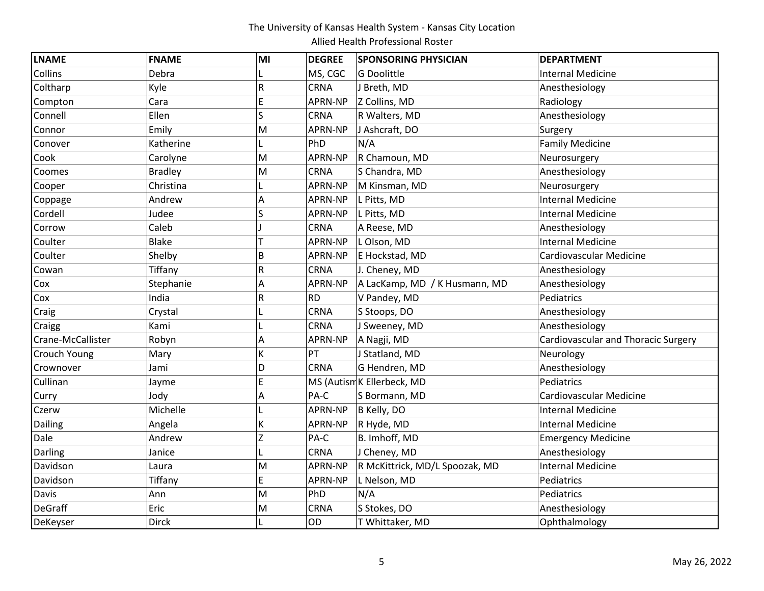| <b>LNAME</b>        | <b>FNAME</b>   | MI | <b>DEGREE</b> | <b>SPONSORING PHYSICIAN</b>    | <b>DEPARTMENT</b>                          |
|---------------------|----------------|----|---------------|--------------------------------|--------------------------------------------|
| Collins             | Debra          |    | MS, CGC       | G Doolittle                    | <b>Internal Medicine</b>                   |
| Coltharp            | Kyle           | R  | CRNA          | J Breth, MD                    | Anesthesiology                             |
| Compton             | Cara           | E  | APRN-NP       | Z Collins, MD                  | Radiology                                  |
| Connell             | Ellen          | S  | CRNA          | R Walters, MD                  | Anesthesiology                             |
| Connor              | Emily          | M  | APRN-NP       | J Ashcraft, DO                 | Surgery                                    |
| Conover             | Katherine      |    | PhD           | N/A                            | <b>Family Medicine</b>                     |
| Cook                | Carolyne       | M  | APRN-NP       | R Chamoun, MD                  | Neurosurgery                               |
| Coomes              | <b>Bradley</b> | M  | <b>CRNA</b>   | S Chandra, MD                  | Anesthesiology                             |
| Cooper              | Christina      |    | APRN-NP       | M Kinsman, MD                  | Neurosurgery                               |
| Coppage             | Andrew         | А  | APRN-NP       | L Pitts, MD                    | <b>Internal Medicine</b>                   |
| Cordell             | Judee          | S  | APRN-NP       | L Pitts, MD                    | <b>Internal Medicine</b>                   |
| Corrow              | Caleb          |    | <b>CRNA</b>   | A Reese, MD                    | Anesthesiology                             |
| Coulter             | <b>Blake</b>   |    | APRN-NP       | L Olson, MD                    | Internal Medicine                          |
| Coulter             | Shelby         | B  | APRN-NP       | E Hockstad, MD                 | Cardiovascular Medicine                    |
| Cowan               | Tiffany        | R  | CRNA          | J. Cheney, MD                  | Anesthesiology                             |
| Cox                 | Stephanie      | Α  | APRN-NP       | A LacKamp, MD / K Husmann, MD  | Anesthesiology                             |
| Cox                 | India          | R  | <b>RD</b>     | V Pandey, MD                   | Pediatrics                                 |
| Craig               | Crystal        |    | CRNA          | S Stoops, DO                   | Anesthesiology                             |
| Craigg              | Kami           |    | CRNA          | J Sweeney, MD                  | Anesthesiology                             |
| Crane-McCallister   | Robyn          | Α  | APRN-NP       | A Nagji, MD                    | <b>Cardiovascular and Thoracic Surgery</b> |
| <b>Crouch Young</b> | Mary           | K  | PT            | J Statland, MD                 | Neurology                                  |
| Crownover           | Jami           | D  | <b>CRNA</b>   | G Hendren, MD                  | Anesthesiology                             |
| Cullinan            | Jayme          | E  |               | MS (Autism K Ellerbeck, MD     | Pediatrics                                 |
| Curry               | Jody           | Α  | PA-C          | S Bormann, MD                  | Cardiovascular Medicine                    |
| Czerw               | Michelle       |    | APRN-NP       | B Kelly, DO                    | <b>Internal Medicine</b>                   |
| Dailing             | Angela         | K  | APRN-NP       | R Hyde, MD                     | <b>Internal Medicine</b>                   |
| Dale                | Andrew         | Z  | PA-C          | B. Imhoff, MD                  | <b>Emergency Medicine</b>                  |
| Darling             | Janice         |    | <b>CRNA</b>   | J Cheney, MD                   | Anesthesiology                             |
| Davidson            | Laura          | M  | APRN-NP       | R McKittrick, MD/L Spoozak, MD | Internal Medicine                          |
| Davidson            | Tiffany        | E  | APRN-NP       | L Nelson, MD                   | Pediatrics                                 |
| Davis               | Ann            | M  | PhD           | N/A                            | Pediatrics                                 |
| <b>DeGraff</b>      | Eric           | M  | CRNA          | S Stokes, DO                   | Anesthesiology                             |
| DeKeyser            | <b>Dirck</b>   |    | OD            | T Whittaker, MD                | Ophthalmology                              |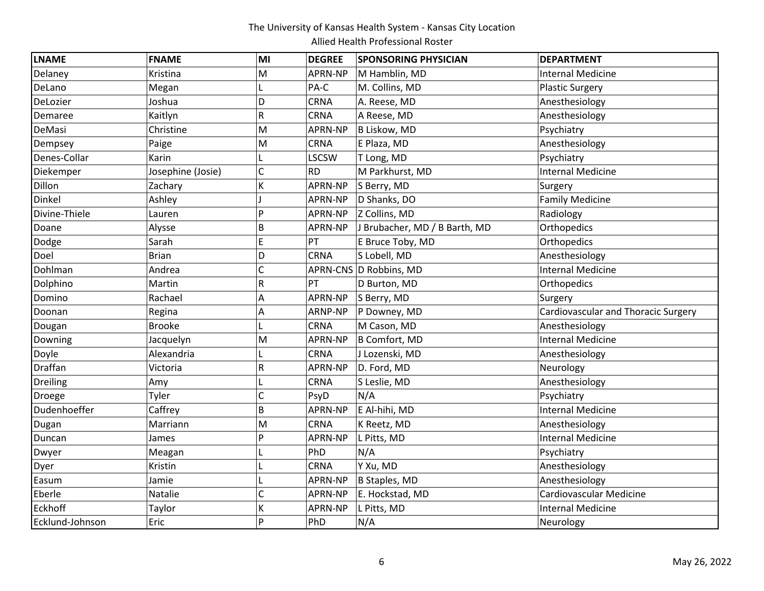| <b>LNAME</b>    | <b>FNAME</b>      | MI             | <b>DEGREE</b> | <b>SPONSORING PHYSICIAN</b>   | <b>DEPARTMENT</b>                   |
|-----------------|-------------------|----------------|---------------|-------------------------------|-------------------------------------|
| Delaney         | Kristina          | M              | APRN-NP       | M Hamblin, MD                 | <b>Internal Medicine</b>            |
| DeLano          | Megan             | L              | PA-C          | M. Collins, MD                | <b>Plastic Surgery</b>              |
| DeLozier        | Joshua            | D              | <b>CRNA</b>   | A. Reese, MD                  | Anesthesiology                      |
| Demaree         | Kaitlyn           | R              | CRNA          | A Reese, MD                   | Anesthesiology                      |
| DeMasi          | Christine         | M              | APRN-NP       | B Liskow, MD                  | Psychiatry                          |
| Dempsey         | Paige             | M              | <b>CRNA</b>   | E Plaza, MD                   | Anesthesiology                      |
| Denes-Collar    | Karin             |                | <b>LSCSW</b>  | T Long, MD                    | Psychiatry                          |
| Diekemper       | Josephine (Josie) | $\overline{C}$ | <b>RD</b>     | M Parkhurst, MD               | <b>Internal Medicine</b>            |
| Dillon          | Zachary           | K              | APRN-NP       | S Berry, MD                   | Surgery                             |
| Dinkel          | Ashley            |                | APRN-NP       | D Shanks, DO                  | <b>Family Medicine</b>              |
| Divine-Thiele   | Lauren            | P              | APRN-NP       | Z Collins, MD                 | Radiology                           |
| Doane           | Alysse            | B              | APRN-NP       | J Brubacher, MD / B Barth, MD | Orthopedics                         |
| Dodge           | Sarah             | E              | PT            | E Bruce Toby, MD              | Orthopedics                         |
| Doel            | <b>Brian</b>      | D              | <b>CRNA</b>   | S Lobell, MD                  | Anesthesiology                      |
| Dohlman         | Andrea            | Ċ              |               | APRN-CNS D Robbins, MD        | <b>Internal Medicine</b>            |
| Dolphino        | Martin            | R              | PT            | D Burton, MD                  | Orthopedics                         |
| Domino          | Rachael           | A              | APRN-NP       | S Berry, MD                   | Surgery                             |
| Doonan          | Regina            | Α              | ARNP-NP       | P Downey, MD                  | Cardiovascular and Thoracic Surgery |
| Dougan          | <b>Brooke</b>     |                | <b>CRNA</b>   | M Cason, MD                   | Anesthesiology                      |
| Downing         | Jacquelyn         | M              | APRN-NP       | B Comfort, MD                 | <b>Internal Medicine</b>            |
| Doyle           | Alexandria        |                | <b>CRNA</b>   | J Lozenski, MD                | Anesthesiology                      |
| Draffan         | Victoria          | R              | APRN-NP       | D. Ford, MD                   | Neurology                           |
| <b>Dreiling</b> | Amy               |                | CRNA          | S Leslie, MD                  | Anesthesiology                      |
| Droege          | Tyler             | Ċ              | PsyD          | N/A                           | Psychiatry                          |
| Dudenhoeffer    | Caffrey           | B              | APRN-NP       | E Al-hihi, MD                 | <b>Internal Medicine</b>            |
| Dugan           | Marriann          | M              | <b>CRNA</b>   | K Reetz, MD                   | Anesthesiology                      |
| Duncan          | James             | P              | APRN-NP       | L Pitts, MD                   | <b>Internal Medicine</b>            |
| Dwyer           | Meagan            |                | PhD           | N/A                           | Psychiatry                          |
| Dyer            | Kristin           |                | <b>CRNA</b>   | Y Xu, MD                      | Anesthesiology                      |
| Easum           | Jamie             |                | APRN-NP       | B Staples, MD                 | Anesthesiology                      |
| Eberle          | Natalie           | $\overline{C}$ | APRN-NP       | E. Hockstad, MD               | Cardiovascular Medicine             |
| Eckhoff         | Taylor            | К              | APRN-NP       | L Pitts, MD                   | <b>Internal Medicine</b>            |
| Ecklund-Johnson | Eric              | P              | PhD           | N/A                           | Neurology                           |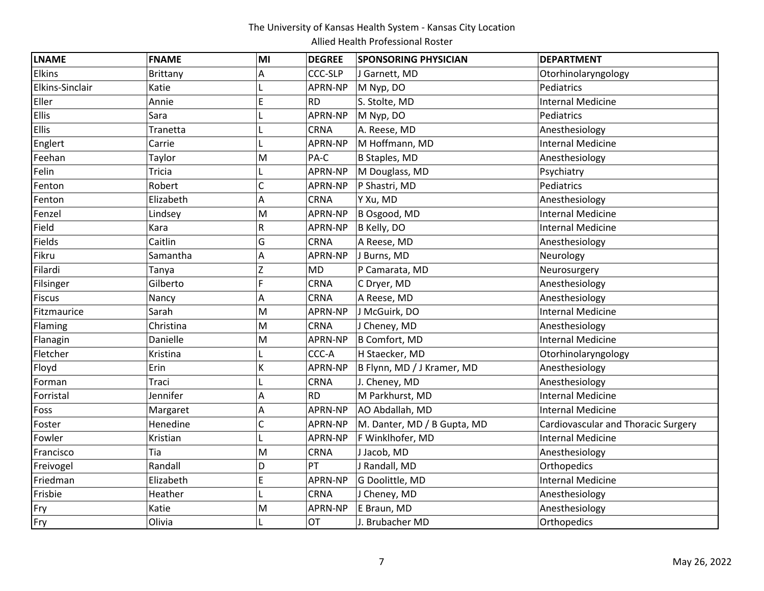| <b>LNAME</b>    | <b>FNAME</b>    | MI | <b>DEGREE</b>  | <b>SPONSORING PHYSICIAN</b> | <b>DEPARTMENT</b>                   |
|-----------------|-----------------|----|----------------|-----------------------------|-------------------------------------|
| Elkins          | <b>Brittany</b> | Α  | <b>CCC-SLP</b> | J Garnett, MD               | Otorhinolaryngology                 |
| Elkins-Sinclair | Katie           |    | APRN-NP        | M Nyp, DO                   | Pediatrics                          |
| Eller           | Annie           | E  | <b>RD</b>      | S. Stolte, MD               | <b>Internal Medicine</b>            |
| <b>Ellis</b>    | Sara            |    | APRN-NP        | M Nyp, DO                   | Pediatrics                          |
| Ellis           | Tranetta        | L  | <b>CRNA</b>    | A. Reese, MD                | Anesthesiology                      |
| Englert         | Carrie          |    | APRN-NP        | M Hoffmann, MD              | <b>Internal Medicine</b>            |
| Feehan          | Taylor          | M  | PA-C           | <b>B Staples, MD</b>        | Anesthesiology                      |
| Felin           | <b>Tricia</b>   | L  | APRN-NP        | M Douglass, MD              | Psychiatry                          |
| Fenton          | Robert          | C  | APRN-NP        | P Shastri, MD               | Pediatrics                          |
| Fenton          | Elizabeth       | Α  | CRNA           | Y Xu, MD                    | Anesthesiology                      |
| Fenzel          | Lindsey         | M  | APRN-NP        | B Osgood, MD                | <b>Internal Medicine</b>            |
| Field           | Kara            | R  | APRN-NP        | B Kelly, DO                 | Internal Medicine                   |
| Fields          | Caitlin         | G  | <b>CRNA</b>    | A Reese, MD                 | Anesthesiology                      |
| Fikru           | Samantha        | Α  | APRN-NP        | J Burns, MD                 | Neurology                           |
| Filardi         | Tanya           | Z  | <b>MD</b>      | P Camarata, MD              | Neurosurgery                        |
| Filsinger       | Gilberto        | F. | CRNA           | C Dryer, MD                 | Anesthesiology                      |
| <b>Fiscus</b>   | Nancy           | Α  | <b>CRNA</b>    | A Reese, MD                 | Anesthesiology                      |
| Fitzmaurice     | Sarah           | M  | APRN-NP        | J McGuirk, DO               | Internal Medicine                   |
| Flaming         | Christina       | M  | <b>CRNA</b>    | J Cheney, MD                | Anesthesiology                      |
| Flanagin        | Danielle        | M  | APRN-NP        | B Comfort, MD               | <b>Internal Medicine</b>            |
| Fletcher        | Kristina        |    | CCC-A          | H Staecker, MD              | Otorhinolaryngology                 |
| Floyd           | Erin            | K  | APRN-NP        | B Flynn, MD / J Kramer, MD  | Anesthesiology                      |
| Forman          | Traci           |    | <b>CRNA</b>    | J. Cheney, MD               | Anesthesiology                      |
| Forristal       | Jennifer        | Α  | <b>RD</b>      | M Parkhurst, MD             | <b>Internal Medicine</b>            |
| Foss            | Margaret        | Α  | APRN-NP        | AO Abdallah, MD             | <b>Internal Medicine</b>            |
| Foster          | Henedine        | Ċ  | APRN-NP        | M. Danter, MD / B Gupta, MD | Cardiovascular and Thoracic Surgery |
| Fowler          | Kristian        |    | APRN-NP        | F Winklhofer, MD            | <b>Internal Medicine</b>            |
| Francisco       | Tia             | M  | <b>CRNA</b>    | J Jacob, MD                 | Anesthesiology                      |
| Freivogel       | Randall         | D  | PT             | J Randall, MD               | Orthopedics                         |
| Friedman        | Elizabeth       | E  | APRN-NP        | G Doolittle, MD             | <b>Internal Medicine</b>            |
| Frisbie         | Heather         |    | <b>CRNA</b>    | J Cheney, MD                | Anesthesiology                      |
| Fry             | Katie           | M  | APRN-NP        | E Braun, MD                 | Anesthesiology                      |
| Fry             | Olivia          |    | <b>OT</b>      | J. Brubacher MD             | Orthopedics                         |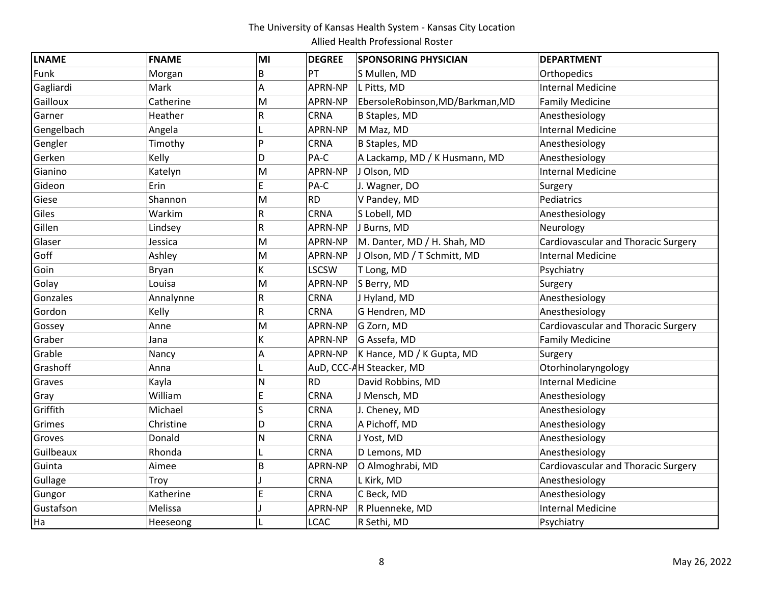| <b>LNAME</b> | <b>FNAME</b> | MI | <b>DEGREE</b> | <b>SPONSORING PHYSICIAN</b>      | <b>DEPARTMENT</b>                          |
|--------------|--------------|----|---------------|----------------------------------|--------------------------------------------|
| Funk         | Morgan       | B  | PT            | S Mullen, MD                     | Orthopedics                                |
| Gagliardi    | Mark         | A  | APRN-NP       | L Pitts, MD                      | <b>Internal Medicine</b>                   |
| Gailloux     | Catherine    | M  | APRN-NP       | EbersoleRobinson, MD/Barkman, MD | <b>Family Medicine</b>                     |
| Garner       | Heather      | R  | <b>CRNA</b>   | <b>B Staples, MD</b>             | Anesthesiology                             |
| Gengelbach   | Angela       |    | APRN-NP       | M Maz, MD                        | <b>Internal Medicine</b>                   |
| Gengler      | Timothy      | Þ  | <b>CRNA</b>   | <b>B Staples, MD</b>             | Anesthesiology                             |
| Gerken       | Kelly        | D  | PA-C          | A Lackamp, MD / K Husmann, MD    | Anesthesiology                             |
| Gianino      | Katelyn      | M  | APRN-NP       | J Olson, MD                      | <b>Internal Medicine</b>                   |
| Gideon       | Erin         | E  | PA-C          | J. Wagner, DO                    | Surgery                                    |
| Giese        | Shannon      | M  | <b>RD</b>     | V Pandey, MD                     | Pediatrics                                 |
| Giles        | Warkim       | R  | <b>CRNA</b>   | S Lobell, MD                     | Anesthesiology                             |
| Gillen       | Lindsey      | R  | APRN-NP       | J Burns, MD                      | Neurology                                  |
| Glaser       | Jessica      | M  | APRN-NP       | M. Danter, MD / H. Shah, MD      | <b>Cardiovascular and Thoracic Surgery</b> |
| Goff         | Ashley       | M  | APRN-NP       | J Olson, MD / T Schmitt, MD      | <b>Internal Medicine</b>                   |
| Goin         | Bryan        | K  | <b>LSCSW</b>  | T Long, MD                       | Psychiatry                                 |
| Golay        | Louisa       | M  | APRN-NP       | S Berry, MD                      | Surgery                                    |
| Gonzales     | Annalynne    | R  | <b>CRNA</b>   | J Hyland, MD                     | Anesthesiology                             |
| Gordon       | Kelly        | R  | <b>CRNA</b>   | G Hendren, MD                    | Anesthesiology                             |
| Gossey       | Anne         | M  | APRN-NP       | G Zorn, MD                       | <b>Cardiovascular and Thoracic Surgery</b> |
| Graber       | Jana         | K  | APRN-NP       | G Assefa, MD                     | <b>Family Medicine</b>                     |
| Grable       | Nancy        | А  | APRN-NP       | K Hance, MD / K Gupta, MD        | Surgery                                    |
| Grashoff     | Anna         |    |               | AuD, CCC-AH Steacker, MD         | Otorhinolaryngology                        |
| Graves       | Kayla        | N  | <b>RD</b>     | David Robbins, MD                | <b>Internal Medicine</b>                   |
| Gray         | William      | E  | <b>CRNA</b>   | J Mensch, MD                     | Anesthesiology                             |
| Griffith     | Michael      | Ś  | <b>CRNA</b>   | J. Cheney, MD                    | Anesthesiology                             |
| Grimes       | Christine    | D  | CRNA          | A Pichoff, MD                    | Anesthesiology                             |
| Groves       | Donald       | Ν  | <b>CRNA</b>   | J Yost, MD                       | Anesthesiology                             |
| Guilbeaux    | Rhonda       |    | <b>CRNA</b>   | D Lemons, MD                     | Anesthesiology                             |
| Guinta       | Aimee        | B  | APRN-NP       | O Almoghrabi, MD                 | Cardiovascular and Thoracic Surgery        |
| Gullage      | Troy         |    | <b>CRNA</b>   | L Kirk, MD                       | Anesthesiology                             |
| Gungor       | Katherine    | Ė  | <b>CRNA</b>   | C Beck, MD                       | Anesthesiology                             |
| Gustafson    | Melissa      |    | APRN-NP       | R Pluenneke, MD                  | <b>Internal Medicine</b>                   |
| Ha           | Heeseong     |    | <b>LCAC</b>   | R Sethi, MD                      | Psychiatry                                 |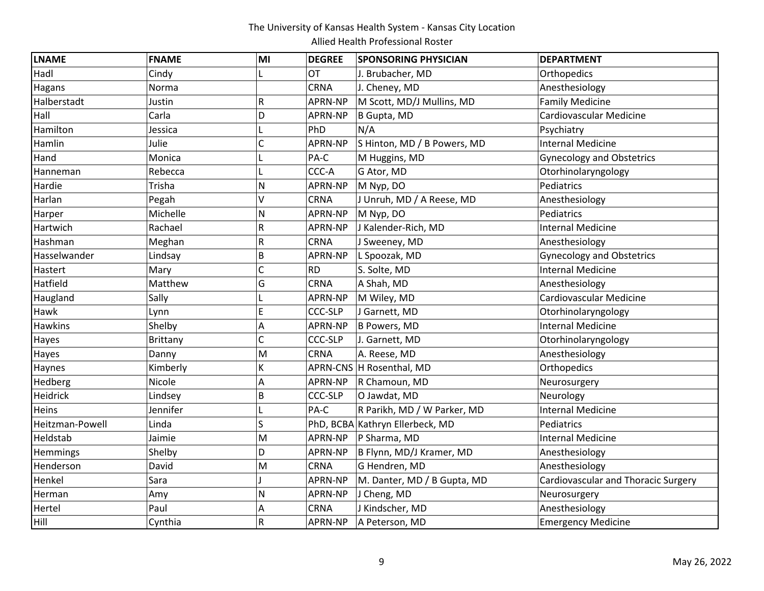| <b>LNAME</b>    | <b>FNAME</b>    | MI | <b>DEGREE</b>  | <b>SPONSORING PHYSICIAN</b>     | <b>DEPARTMENT</b>                          |
|-----------------|-----------------|----|----------------|---------------------------------|--------------------------------------------|
| Hadl            | Cindy           |    | <b>OT</b>      | J. Brubacher, MD                | Orthopedics                                |
| Hagans          | Norma           |    | <b>CRNA</b>    | J. Cheney, MD                   | Anesthesiology                             |
| Halberstadt     | Justin          | R  | APRN-NP        | M Scott, MD/J Mullins, MD       | <b>Family Medicine</b>                     |
| Hall            | Carla           | D  | APRN-NP        | B Gupta, MD                     | <b>Cardiovascular Medicine</b>             |
| Hamilton        | Jessica         |    | PhD            | N/A                             | Psychiatry                                 |
| Hamlin          | Julie           |    | APRN-NP        | S Hinton, MD / B Powers, MD     | <b>Internal Medicine</b>                   |
| Hand            | Monica          |    | PA-C           | M Huggins, MD                   | <b>Gynecology and Obstetrics</b>           |
| Hanneman        | Rebecca         |    | CCC-A          | G Ator, MD                      | Otorhinolaryngology                        |
| Hardie          | Trisha          | N  | APRN-NP        | M Nyp, DO                       | Pediatrics                                 |
| Harlan          | Pegah           | V  | <b>CRNA</b>    | J Unruh, MD / A Reese, MD       | Anesthesiology                             |
| Harper          | Michelle        | N  | APRN-NP        | M Nyp, DO                       | Pediatrics                                 |
| Hartwich        | Rachael         | R  | APRN-NP        | J Kalender-Rich, MD             | <b>Internal Medicine</b>                   |
| Hashman         | Meghan          | R  | <b>CRNA</b>    | J Sweeney, MD                   | Anesthesiology                             |
| Hasselwander    | Lindsay         | B  | APRN-NP        | L Spoozak, MD                   | <b>Gynecology and Obstetrics</b>           |
| Hastert         | Mary            | Ċ  | <b>RD</b>      | S. Solte, MD                    | <b>Internal Medicine</b>                   |
| Hatfield        | Matthew         | Ġ  | <b>CRNA</b>    | A Shah, MD                      | Anesthesiology                             |
| Haugland        | Sally           |    | APRN-NP        | M Wiley, MD                     | Cardiovascular Medicine                    |
| Hawk            | Lynn            | Ė  | CCC-SLP        | J Garnett, MD                   | Otorhinolaryngology                        |
| <b>Hawkins</b>  | Shelby          | Α  | APRN-NP        | B Powers, MD                    | <b>Internal Medicine</b>                   |
| Hayes           | <b>Brittany</b> | C  | <b>CCC-SLP</b> | J. Garnett, MD                  | Otorhinolaryngology                        |
| Hayes           | Danny           | M  | <b>CRNA</b>    | A. Reese, MD                    | Anesthesiology                             |
| Haynes          | Kimberly        | K  |                | APRN-CNS H Rosenthal, MD        | Orthopedics                                |
| Hedberg         | Nicole          | A  | APRN-NP        | R Chamoun, MD                   | Neurosurgery                               |
| Heidrick        | Lindsey         | B  | <b>CCC-SLP</b> | O Jawdat, MD                    | Neurology                                  |
| Heins           | Jennifer        |    | PA-C           | R Parikh, MD / W Parker, MD     | <b>Internal Medicine</b>                   |
| Heitzman-Powell | Linda           | Ś  |                | PhD, BCBA Kathryn Ellerbeck, MD | Pediatrics                                 |
| Heldstab        | Jaimie          | M  | APRN-NP        | P Sharma, MD                    | <b>Internal Medicine</b>                   |
| Hemmings        | Shelby          | D  | APRN-NP        | B Flynn, MD/J Kramer, MD        | Anesthesiology                             |
| Henderson       | David           | M  | <b>CRNA</b>    | G Hendren, MD                   | Anesthesiology                             |
| Henkel          | Sara            |    | APRN-NP        | M. Danter, MD / B Gupta, MD     | <b>Cardiovascular and Thoracic Surgery</b> |
| Herman          | Amy             | N  | APRN-NP        | J Cheng, MD                     | Neurosurgery                               |
| Hertel          | Paul            | A  | <b>CRNA</b>    | J Kindscher, MD                 | Anesthesiology                             |
| Hill            | Cynthia         | R  | APRN-NP        | A Peterson, MD                  | <b>Emergency Medicine</b>                  |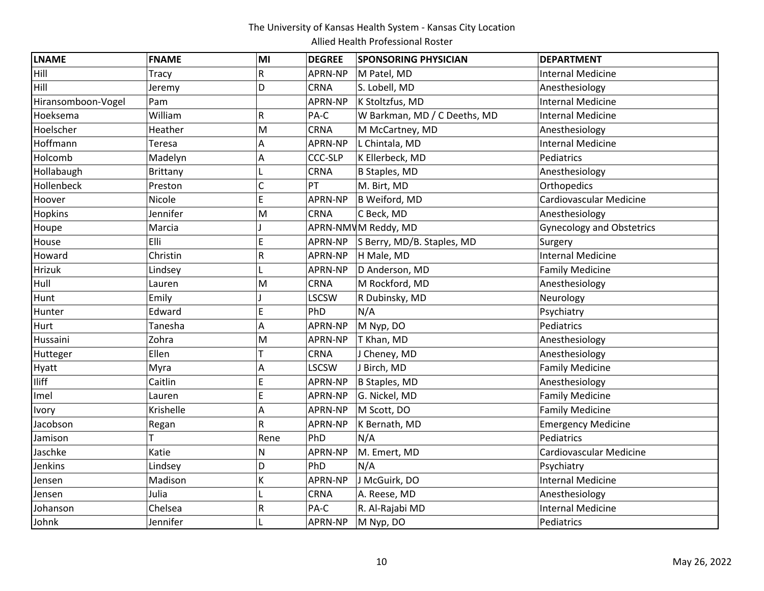| <b>LNAME</b>       | <b>FNAME</b>    | MI             | <b>DEGREE</b>  | <b>SPONSORING PHYSICIAN</b>  | <b>DEPARTMENT</b>                |
|--------------------|-----------------|----------------|----------------|------------------------------|----------------------------------|
| Hill               | Tracy           | R              | APRN-NP        | M Patel, MD                  | <b>Internal Medicine</b>         |
| Hill               | Jeremy          | D              | <b>CRNA</b>    | S. Lobell, MD                | Anesthesiology                   |
| Hiransomboon-Vogel | Pam             |                | APRN-NP        | K Stoltzfus, MD              | <b>Internal Medicine</b>         |
| Hoeksema           | William         | R              | PA-C           | W Barkman, MD / C Deeths, MD | <b>Internal Medicine</b>         |
| Hoelscher          | Heather         | M              | CRNA           | M McCartney, MD              | Anesthesiology                   |
| Hoffmann           | Teresa          | Α              | APRN-NP        | L Chintala, MD               | <b>Internal Medicine</b>         |
| Holcomb            | Madelyn         | Α              | <b>CCC-SLP</b> | K Ellerbeck, MD              | Pediatrics                       |
| Hollabaugh         | <b>Brittany</b> |                | <b>CRNA</b>    | <b>B Staples, MD</b>         | Anesthesiology                   |
| Hollenbeck         | Preston         | $\overline{C}$ | PT             | M. Birt, MD                  | Orthopedics                      |
| Hoover             | Nicole          | E              | APRN-NP        | B Weiford, MD                | Cardiovascular Medicine          |
| <b>Hopkins</b>     | Jennifer        | M              | <b>CRNA</b>    | C Beck, MD                   | Anesthesiology                   |
| Houpe              | Marcia          |                |                | APRN-NMVM Reddy, MD          | <b>Gynecology and Obstetrics</b> |
| House              | Elli            | E              | APRN-NP        | S Berry, MD/B. Staples, MD   | Surgery                          |
| Howard             | Christin        | R              | APRN-NP        | H Male, MD                   | Internal Medicine                |
| Hrizuk             | Lindsey         |                | APRN-NP        | D Anderson, MD               | <b>Family Medicine</b>           |
| Hull               | Lauren          | M              | CRNA           | M Rockford, MD               | Anesthesiology                   |
| Hunt               | Emily           |                | LSCSW          | R Dubinsky, MD               | Neurology                        |
| Hunter             | Edward          | E              | PhD            | N/A                          | Psychiatry                       |
| Hurt               | Tanesha         | Α              | APRN-NP        | M Nyp, DO                    | Pediatrics                       |
| Hussaini           | Zohra           | M              | APRN-NP        | T Khan, MD                   | Anesthesiology                   |
| Hutteger           | Ellen           |                | CRNA           | J Cheney, MD                 | Anesthesiology                   |
| Hyatt              | Myra            | A              | <b>LSCSW</b>   | J Birch, MD                  | <b>Family Medicine</b>           |
| Iliff              | Caitlin         | E              | APRN-NP        | B Staples, MD                | Anesthesiology                   |
| Imel               | Lauren          | E              | APRN-NP        | G. Nickel, MD                | <b>Family Medicine</b>           |
| Ivory              | Krishelle       | A              | APRN-NP        | M Scott, DO                  | <b>Family Medicine</b>           |
| Jacobson           | Regan           | R              | APRN-NP        | K Bernath, MD                | <b>Emergency Medicine</b>        |
| Jamison            |                 | Rene           | PhD            | N/A                          | Pediatrics                       |
| Jaschke            | Katie           | N              | APRN-NP        | M. Emert, MD                 | Cardiovascular Medicine          |
| Jenkins            | Lindsey         | D              | PhD            | N/A                          | Psychiatry                       |
| Jensen             | Madison         | K              | APRN-NP        | J McGuirk, DO                | <b>Internal Medicine</b>         |
| Jensen             | Julia           |                | CRNA           | A. Reese, MD                 | Anesthesiology                   |
| Johanson           | Chelsea         | R              | PA-C           | R. Al-Rajabi MD              | <b>Internal Medicine</b>         |
| Johnk              | Jennifer        |                | APRN-NP        | M Nyp, DO                    | Pediatrics                       |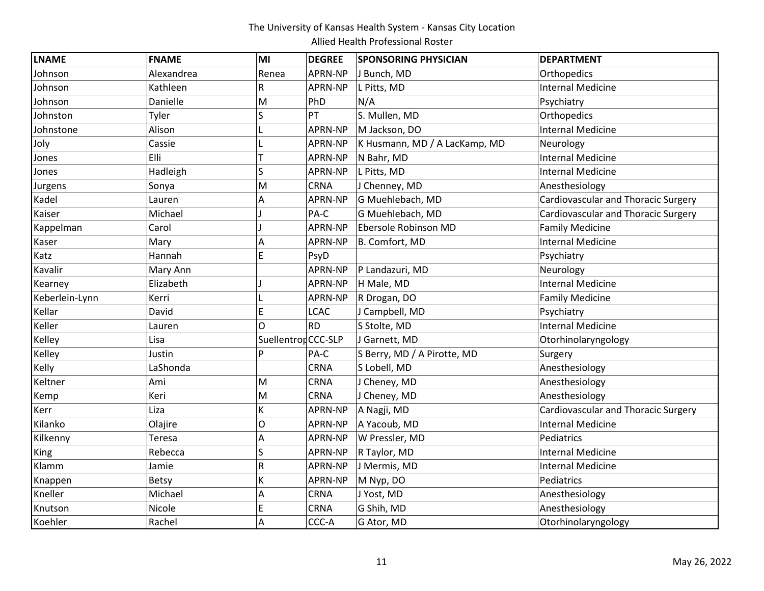| <b>LNAME</b>   | <b>FNAME</b> | MI                  | <b>DEGREE</b> | <b>SPONSORING PHYSICIAN</b>   | <b>DEPARTMENT</b>                          |
|----------------|--------------|---------------------|---------------|-------------------------------|--------------------------------------------|
| Johnson        | Alexandrea   | Renea               | APRN-NP       | J Bunch, MD                   | Orthopedics                                |
| Johnson        | Kathleen     | R                   | APRN-NP       | L Pitts, MD                   | <b>Internal Medicine</b>                   |
| Johnson        | Danielle     | M                   | PhD           | N/A                           | Psychiatry                                 |
| Johnston       | Tyler        | S                   | PT            | S. Mullen, MD                 | Orthopedics                                |
| Johnstone      | Alison       |                     | APRN-NP       | M Jackson, DO                 | <b>Internal Medicine</b>                   |
| Joly           | Cassie       |                     | APRN-NP       | K Husmann, MD / A LacKamp, MD | Neurology                                  |
| Jones          | Elli         |                     | APRN-NP       | N Bahr, MD                    | <b>Internal Medicine</b>                   |
| Jones          | Hadleigh     | S                   | APRN-NP       | L Pitts, MD                   | <b>Internal Medicine</b>                   |
| Jurgens        | Sonya        | M                   | <b>CRNA</b>   | J Chenney, MD                 | Anesthesiology                             |
| Kadel          | Lauren       | А                   | APRN-NP       | G Muehlebach, MD              | Cardiovascular and Thoracic Surgery        |
| Kaiser         | Michael      |                     | PA-C          | G Muehlebach, MD              | Cardiovascular and Thoracic Surgery        |
| Kappelman      | Carol        |                     | APRN-NP       | Ebersole Robinson MD          | <b>Family Medicine</b>                     |
| Kaser          | Mary         | Α                   | APRN-NP       | B. Comfort, MD                | <b>Internal Medicine</b>                   |
| Katz           | Hannah       | E                   | PsyD          |                               | Psychiatry                                 |
| Kavalir        | Mary Ann     |                     | APRN-NP       | P Landazuri, MD               | Neurology                                  |
| Kearney        | Elizabeth    |                     | APRN-NP       | H Male, MD                    | <b>Internal Medicine</b>                   |
| Keberlein-Lynn | Kerri        |                     | APRN-NP       | R Drogan, DO                  | <b>Family Medicine</b>                     |
| Kellar         | David        | E                   | <b>LCAC</b>   | J Campbell, MD                | Psychiatry                                 |
| Keller         | Lauren       | O                   | <b>RD</b>     | S Stolte, MD                  | <b>Internal Medicine</b>                   |
| Kelley         | Lisa         | Suellentron CCC-SLP |               | J Garnett, MD                 | Otorhinolaryngology                        |
| Kelley         | Justin       | Þ                   | PA-C          | S Berry, MD / A Pirotte, MD   | Surgery                                    |
| Kelly          | LaShonda     |                     | <b>CRNA</b>   | S Lobell, MD                  | Anesthesiology                             |
| Keltner        | Ami          | M                   | CRNA          | J Cheney, MD                  | Anesthesiology                             |
| Kemp           | Keri         | M                   | <b>CRNA</b>   | J Cheney, MD                  | Anesthesiology                             |
| Kerr           | Liza         | K                   | APRN-NP       | A Nagji, MD                   | <b>Cardiovascular and Thoracic Surgery</b> |
| Kilanko        | Olajire      | O                   | APRN-NP       | A Yacoub, MD                  | <b>Internal Medicine</b>                   |
| Kilkenny       | Teresa       | Α                   | APRN-NP       | W Pressler, MD                | Pediatrics                                 |
| King           | Rebecca      | S                   | APRN-NP       | R Taylor, MD                  | <b>Internal Medicine</b>                   |
| Klamm          | Jamie        | R                   | APRN-NP       | J Mermis, MD                  | <b>Internal Medicine</b>                   |
| Knappen        | Betsy        | K                   | APRN-NP       | M Nyp, DO                     | Pediatrics                                 |
| Kneller        | Michael      | A                   | CRNA          | J Yost, MD                    | Anesthesiology                             |
| Knutson        | Nicole       | E                   | CRNA          | G Shih, MD                    | Anesthesiology                             |
| Koehler        | Rachel       | A                   | CCC-A         | G Ator, MD                    | Otorhinolaryngology                        |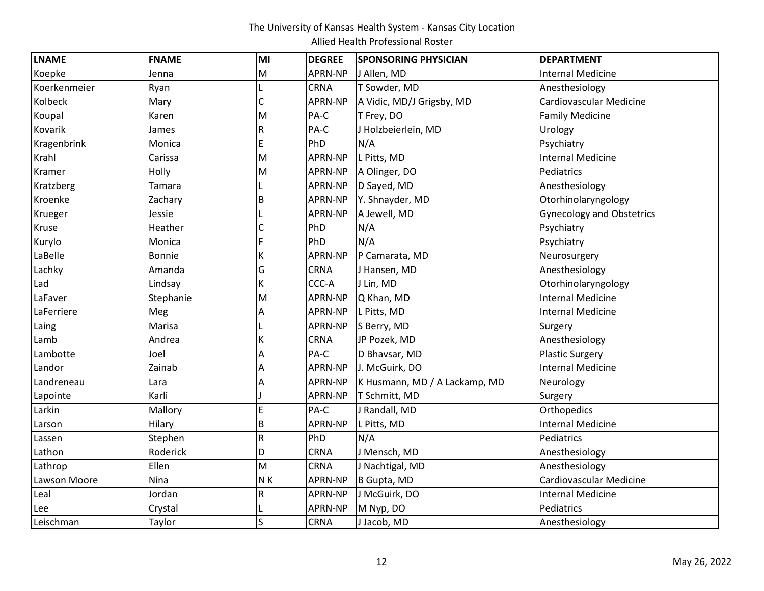| <b>LNAME</b> | <b>FNAME</b>  | MI  | <b>DEGREE</b> | <b>SPONSORING PHYSICIAN</b>   | <b>DEPARTMENT</b>                |
|--------------|---------------|-----|---------------|-------------------------------|----------------------------------|
| Koepke       | Jenna         | M   | APRN-NP       | J Allen, MD                   | <b>Internal Medicine</b>         |
| Koerkenmeier | Ryan          |     | <b>CRNA</b>   | T Sowder, MD                  | Anesthesiology                   |
| Kolbeck      | Mary          | Ċ   | APRN-NP       | A Vidic, MD/J Grigsby, MD     | Cardiovascular Medicine          |
| Koupal       | Karen         | M   | PA-C          | T Frey, DO                    | <b>Family Medicine</b>           |
| Kovarik      | James         | R   | PA-C          | J Holzbeierlein, MD           | Urology                          |
| Kragenbrink  | Monica        | E   | PhD           | N/A                           | Psychiatry                       |
| Krahl        | Carissa       | M   | APRN-NP       | L Pitts, MD                   | <b>Internal Medicine</b>         |
| Kramer       | Holly         | M   | APRN-NP       | A Olinger, DO                 | Pediatrics                       |
| Kratzberg    | Tamara        |     | APRN-NP       | D Sayed, MD                   | Anesthesiology                   |
| Kroenke      | Zachary       | B   | APRN-NP       | Y. Shnayder, MD               | Otorhinolaryngology              |
| Krueger      | Jessie        |     | APRN-NP       | A Jewell, MD                  | <b>Gynecology and Obstetrics</b> |
| Kruse        | Heather       | C   | PhD           | N/A                           | Psychiatry                       |
| Kurylo       | Monica        | F   | PhD           | N/A                           | Psychiatry                       |
| LaBelle      | <b>Bonnie</b> | K   | APRN-NP       | P Camarata, MD                | Neurosurgery                     |
| Lachky       | Amanda        | Ġ   | <b>CRNA</b>   | J Hansen, MD                  | Anesthesiology                   |
| Lad          | Lindsay       | K   | CCC-A         | J Lin, MD                     | Otorhinolaryngology              |
| LaFaver      | Stephanie     | M   | APRN-NP       | Q Khan, MD                    | <b>Internal Medicine</b>         |
| LaFerriere   | Meg           | Α   | APRN-NP       | L Pitts, MD                   | <b>Internal Medicine</b>         |
| Laing        | Marisa        |     | APRN-NP       | S Berry, MD                   | Surgery                          |
| Lamb         | Andrea        | K   | CRNA          | JP Pozek, MD                  | Anesthesiology                   |
| Lambotte     | Joel          | Α   | PA-C          | D Bhavsar, MD                 | <b>Plastic Surgery</b>           |
| Landor       | Zainab        | A   | APRN-NP       | J. McGuirk, DO                | <b>Internal Medicine</b>         |
| Landreneau   | Lara          | Α   | APRN-NP       | K Husmann, MD / A Lackamp, MD | Neurology                        |
| Lapointe     | Karli         |     | APRN-NP       | T Schmitt, MD                 | Surgery                          |
| Larkin       | Mallory       | E   | PA-C          | J Randall, MD                 | Orthopedics                      |
| Larson       | Hilary        | B   | APRN-NP       | L Pitts, MD                   | <b>Internal Medicine</b>         |
| Lassen       | Stephen       | R   | PhD           | N/A                           | Pediatrics                       |
| Lathon       | Roderick      | D   | <b>CRNA</b>   | J Mensch, MD                  | Anesthesiology                   |
| Lathrop      | Ellen         | M   | <b>CRNA</b>   | J Nachtigal, MD               | Anesthesiology                   |
| Lawson Moore | Nina          | N K | APRN-NP       | B Gupta, MD                   | Cardiovascular Medicine          |
| Leal         | Jordan        | R   | APRN-NP       | J McGuirk, DO                 | <b>Internal Medicine</b>         |
| Lee          | Crystal       |     | APRN-NP       | M Nyp, DO                     | Pediatrics                       |
| Leischman    | Taylor        | Ś   | <b>CRNA</b>   | J Jacob, MD                   | Anesthesiology                   |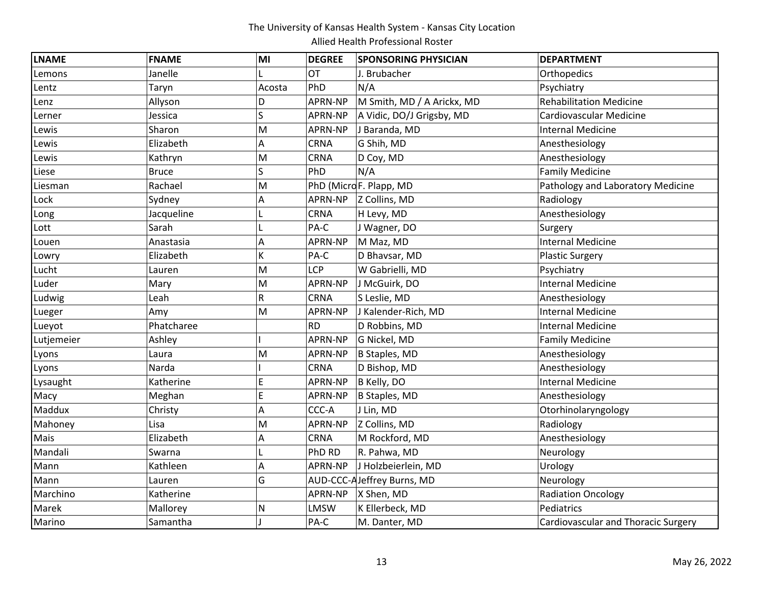| <b>LNAME</b> | <b>FNAME</b> | MI     | <b>DEGREE</b> | <b>SPONSORING PHYSICIAN</b> | <b>DEPARTMENT</b>                          |
|--------------|--------------|--------|---------------|-----------------------------|--------------------------------------------|
| Lemons       | Janelle      |        | <b>OT</b>     | J. Brubacher                | Orthopedics                                |
| Lentz        | Taryn        | Acosta | PhD           | N/A                         | Psychiatry                                 |
| Lenz         | Allyson      | D      | APRN-NP       | M Smith, MD / A Arickx, MD  | <b>Rehabilitation Medicine</b>             |
| Lerner       | Jessica      | S      | APRN-NP       | A Vidic, DO/J Grigsby, MD   | Cardiovascular Medicine                    |
| Lewis        | Sharon       | M      | APRN-NP       | J Baranda, MD               | <b>Internal Medicine</b>                   |
| Lewis        | Elizabeth    | Α      | <b>CRNA</b>   | G Shih, MD                  | Anesthesiology                             |
| Lewis        | Kathryn      | M      | <b>CRNA</b>   | D Coy, MD                   | Anesthesiology                             |
| Liese        | <b>Bruce</b> | S      | PhD           | N/A                         | <b>Family Medicine</b>                     |
| Liesman      | Rachael      | M      |               | PhD (MicroF. Plapp, MD      | Pathology and Laboratory Medicine          |
| Lock         | Sydney       | А      | APRN-NP       | Z Collins, MD               | Radiology                                  |
| Long         | Jacqueline   |        | <b>CRNA</b>   | H Levy, MD                  | Anesthesiology                             |
| Lott         | Sarah        |        | PA-C          | J Wagner, DO                | Surgery                                    |
| Louen        | Anastasia    | Α      | APRN-NP       | M Maz, MD                   | Internal Medicine                          |
| Lowry        | Elizabeth    | K      | PA-C          | D Bhavsar, MD               | <b>Plastic Surgery</b>                     |
| Lucht        | Lauren       | M      | LCP           | W Gabrielli, MD             | Psychiatry                                 |
| Luder        | Mary         | M      | APRN-NP       | J McGuirk, DO               | <b>Internal Medicine</b>                   |
| Ludwig       | Leah         | R      | <b>CRNA</b>   | S Leslie, MD                | Anesthesiology                             |
| Lueger       | Amy          | M      | APRN-NP       | J Kalender-Rich, MD         | <b>Internal Medicine</b>                   |
| Lueyot       | Phatcharee   |        | <b>RD</b>     | D Robbins, MD               | <b>Internal Medicine</b>                   |
| Lutjemeier   | Ashley       |        | APRN-NP       | G Nickel, MD                | <b>Family Medicine</b>                     |
| Lyons        | Laura        | M      | APRN-NP       | B Staples, MD               | Anesthesiology                             |
| Lyons        | Narda        |        | <b>CRNA</b>   | D Bishop, MD                | Anesthesiology                             |
| Lysaught     | Katherine    | E      | APRN-NP       | B Kelly, DO                 | Internal Medicine                          |
| Macy         | Meghan       | E      | APRN-NP       | B Staples, MD               | Anesthesiology                             |
| Maddux       | Christy      | A      | CCC-A         | J Lin, MD                   | Otorhinolaryngology                        |
| Mahoney      | Lisa         | M      | APRN-NP       | Z Collins, MD               | Radiology                                  |
| Mais         | Elizabeth    | А      | <b>CRNA</b>   | M Rockford, MD              | Anesthesiology                             |
| Mandali      | Swarna       |        | PhD RD        | R. Pahwa, MD                | Neurology                                  |
| Mann         | Kathleen     | Α      | APRN-NP       | J Holzbeierlein, MD         | Urology                                    |
| Mann         | Lauren       | G      |               | AUD-CCC-AJeffrey Burns, MD  | Neurology                                  |
| Marchino     | Katherine    |        | APRN-NP       | X Shen, MD                  | <b>Radiation Oncology</b>                  |
| Marek        | Mallorey     | N      | <b>LMSW</b>   | K Ellerbeck, MD             | Pediatrics                                 |
| Marino       | Samantha     |        | PA-C          | M. Danter, MD               | <b>Cardiovascular and Thoracic Surgery</b> |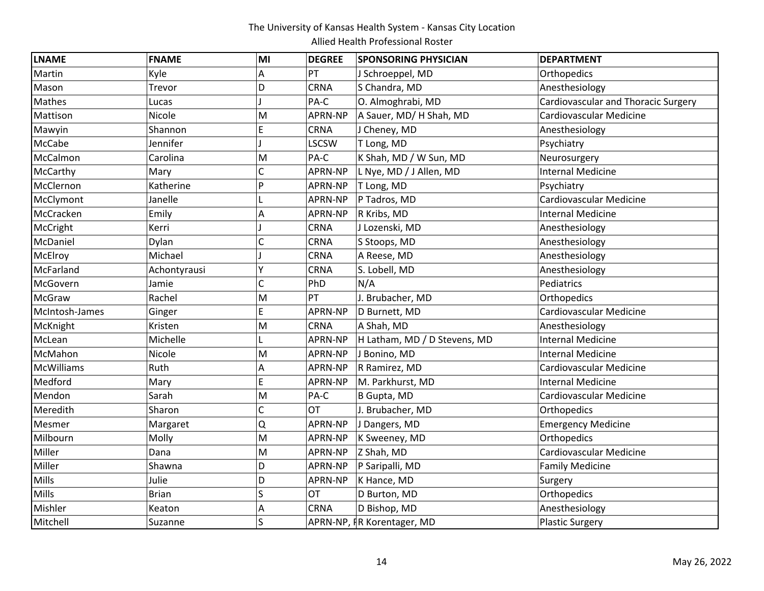| <b>LNAME</b>      | <b>FNAME</b> | MI | <b>DEGREE</b>  | <b>SPONSORING PHYSICIAN</b>  | <b>DEPARTMENT</b>                          |
|-------------------|--------------|----|----------------|------------------------------|--------------------------------------------|
| Martin            | Kyle         | Α  | PT             | J Schroeppel, MD             | Orthopedics                                |
| Mason             | Trevor       | D  | CRNA           | S Chandra, MD                | Anesthesiology                             |
| Mathes            | Lucas        |    | PA-C           | O. Almoghrabi, MD            | <b>Cardiovascular and Thoracic Surgery</b> |
| Mattison          | Nicole       | M  | APRN-NP        | A Sauer, MD/ H Shah, MD      | Cardiovascular Medicine                    |
| Mawyin            | Shannon      | E  | <b>CRNA</b>    | J Cheney, MD                 | Anesthesiology                             |
| McCabe            | Jennifer     |    | <b>LSCSW</b>   | T Long, MD                   | Psychiatry                                 |
| McCalmon          | Carolina     | M  | PA-C           | K Shah, MD / W Sun, MD       | Neurosurgery                               |
| McCarthy          | Mary         | Ċ  | APRN-NP        | L Nye, MD / J Allen, MD      | <b>Internal Medicine</b>                   |
| McClernon         | Katherine    | Þ  | APRN-NP        | T Long, MD                   | Psychiatry                                 |
| McClymont         | Janelle      |    | APRN-NP        | P Tadros, MD                 | Cardiovascular Medicine                    |
| McCracken         | Emily        | A  | APRN-NP        | R Kribs, MD                  | <b>Internal Medicine</b>                   |
| McCright          | Kerri        |    | <b>CRNA</b>    | J Lozenski, MD               | Anesthesiology                             |
| McDaniel          | Dylan        | C  | CRNA           | S Stoops, MD                 | Anesthesiology                             |
| McElroy           | Michael      |    | <b>CRNA</b>    | A Reese, MD                  | Anesthesiology                             |
| McFarland         | Achontyrausi |    | CRNA           | S. Lobell, MD                | Anesthesiology                             |
| McGovern          | Jamie        | Ċ  | PhD            | N/A                          | Pediatrics                                 |
| McGraw            | Rachel       | M  | PT             | J. Brubacher, MD             | Orthopedics                                |
| McIntosh-James    | Ginger       | E  | APRN-NP        | D Burnett, MD                | Cardiovascular Medicine                    |
| McKnight          | Kristen      | M  | CRNA           | A Shah, MD                   | Anesthesiology                             |
| McLean            | Michelle     |    | APRN-NP        | H Latham, MD / D Stevens, MD | <b>Internal Medicine</b>                   |
| McMahon           | Nicole       | M  | APRN-NP        | J Bonino, MD                 | <b>Internal Medicine</b>                   |
| <b>McWilliams</b> | Ruth         | Α  | APRN-NP        | R Ramirez, MD                | Cardiovascular Medicine                    |
| Medford           | Mary         | E  | APRN-NP        | M. Parkhurst, MD             | <b>Internal Medicine</b>                   |
| Mendon            | Sarah        | M  | PA-C           | B Gupta, MD                  | Cardiovascular Medicine                    |
| Meredith          | Sharon       | C  | OT             | J. Brubacher, MD             | Orthopedics                                |
| Mesmer            | Margaret     | Q  | APRN-NP        | J Dangers, MD                | <b>Emergency Medicine</b>                  |
| Milbourn          | Molly        | M  | APRN-NP        | K Sweeney, MD                | Orthopedics                                |
| Miller            | Dana         | M  | APRN-NP        | Z Shah, MD                   | Cardiovascular Medicine                    |
| Miller            | Shawna       | D  | APRN-NP        | P Saripalli, MD              | <b>Family Medicine</b>                     |
| Mills             | Julie        | D  | <b>APRN-NP</b> | K Hance, MD                  | Surgery                                    |
| Mills             | <b>Brian</b> | Ś  | OT             | D Burton, MD                 | Orthopedics                                |
| Mishler           | Keaton       | Α  | <b>CRNA</b>    | D Bishop, MD                 | Anesthesiology                             |
| Mitchell          | Suzanne      | Ś  |                | APRN-NP, IR Korentager, MD   | <b>Plastic Surgery</b>                     |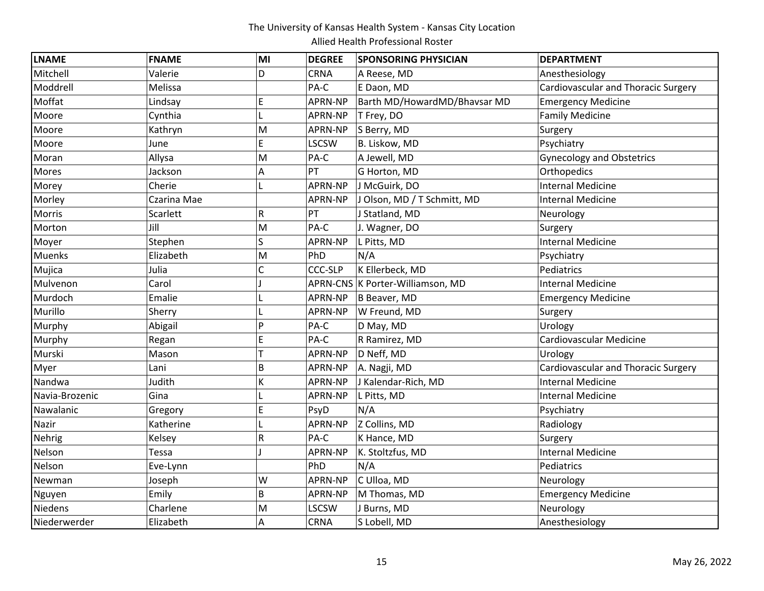| <b>LNAME</b>   | <b>FNAME</b> | MI | <b>DEGREE</b>  | <b>SPONSORING PHYSICIAN</b>      | <b>DEPARTMENT</b>                          |
|----------------|--------------|----|----------------|----------------------------------|--------------------------------------------|
| Mitchell       | Valerie      | D  | <b>CRNA</b>    | A Reese, MD                      | Anesthesiology                             |
| Moddrell       | Melissa      |    | PA-C           | E Daon, MD                       | Cardiovascular and Thoracic Surgery        |
| Moffat         | Lindsay      | E  | APRN-NP        | Barth MD/HowardMD/Bhavsar MD     | <b>Emergency Medicine</b>                  |
| Moore          | Cynthia      |    | APRN-NP        | T Frey, DO                       | <b>Family Medicine</b>                     |
| Moore          | Kathryn      | M  | APRN-NP        | S Berry, MD                      | Surgery                                    |
| Moore          | June         | E  | <b>LSCSW</b>   | B. Liskow, MD                    | Psychiatry                                 |
| Moran          | Allysa       | M  | PA-C           | A Jewell, MD                     | <b>Gynecology and Obstetrics</b>           |
| <b>Mores</b>   | Jackson      | Α  | PT             | G Horton, MD                     | Orthopedics                                |
| Morey          | Cherie       |    | APRN-NP        | J McGuirk, DO                    | <b>Internal Medicine</b>                   |
| Morley         | Czarina Mae  |    | APRN-NP        | J Olson, MD / T Schmitt, MD      | <b>Internal Medicine</b>                   |
| Morris         | Scarlett     | R  | PT             | J Statland, MD                   | Neurology                                  |
| Morton         | Jill         | M  | PA-C           | J. Wagner, DO                    | Surgery                                    |
| Moyer          | Stephen      | S  | APRN-NP        | L Pitts, MD                      | <b>Internal Medicine</b>                   |
| <b>Muenks</b>  | Elizabeth    | M  | PhD            | N/A                              | Psychiatry                                 |
| Mujica         | Julia        | Ċ  | <b>CCC-SLP</b> | K Ellerbeck, MD                  | Pediatrics                                 |
| Mulvenon       | Carol        |    |                | APRN-CNS K Porter-Williamson, MD | <b>Internal Medicine</b>                   |
| Murdoch        | Emalie       |    | APRN-NP        | B Beaver, MD                     | <b>Emergency Medicine</b>                  |
| Murillo        | Sherry       |    | APRN-NP        | W Freund, MD                     | Surgery                                    |
| Murphy         | Abigail      | Þ  | PA-C           | D May, MD                        | Urology                                    |
| Murphy         | Regan        | E  | PA-C           | R Ramirez, MD                    | Cardiovascular Medicine                    |
| Murski         | Mason        |    | APRN-NP        | D Neff, MD                       | Urology                                    |
| Myer           | Lani         | B  | APRN-NP        | A. Nagji, MD                     | <b>Cardiovascular and Thoracic Surgery</b> |
| Nandwa         | Judith       | K  | APRN-NP        | J Kalendar-Rich, MD              | <b>Internal Medicine</b>                   |
| Navia-Brozenic | Gina         |    | APRN-NP        | L Pitts, MD                      | <b>Internal Medicine</b>                   |
| Nawalanic      | Gregory      | E  | PsyD           | N/A                              | Psychiatry                                 |
| Nazir          | Katherine    |    | APRN-NP        | Z Collins, MD                    | Radiology                                  |
| Nehrig         | Kelsey       | R  | PA-C           | K Hance, MD                      | Surgery                                    |
| Nelson         | Tessa        |    | APRN-NP        | K. Stoltzfus, MD                 | <b>Internal Medicine</b>                   |
| Nelson         | Eve-Lynn     |    | PhD            | N/A                              | Pediatrics                                 |
| Newman         | Joseph       | W  | APRN-NP        | C Ulloa, MD                      | Neurology                                  |
| Nguyen         | Emily        | B  | APRN-NP        | M Thomas, MD                     | <b>Emergency Medicine</b>                  |
| <b>Niedens</b> | Charlene     | M  | <b>LSCSW</b>   | J Burns, MD                      | Neurology                                  |
| Niederwerder   | Elizabeth    | А  | <b>CRNA</b>    | S Lobell, MD                     | Anesthesiology                             |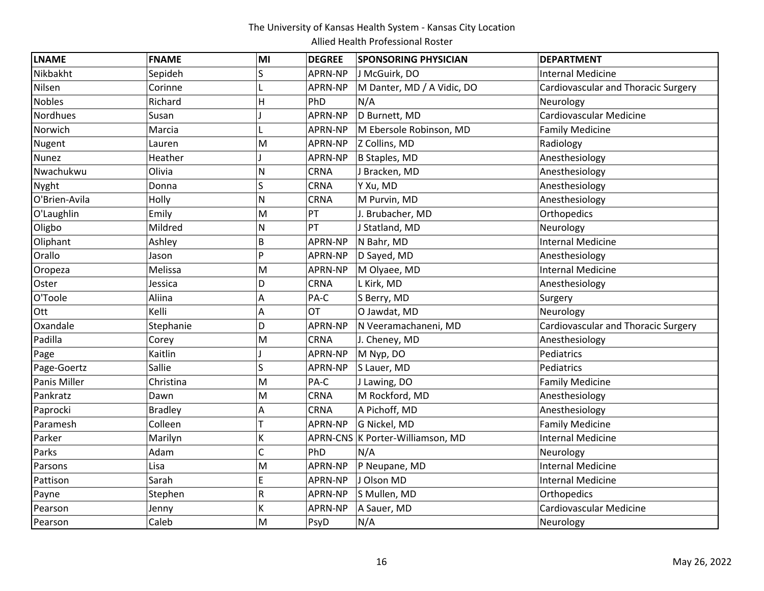| <b>LNAME</b>  | <b>FNAME</b>   | MI | <b>DEGREE</b>  | <b>SPONSORING PHYSICIAN</b>      | <b>DEPARTMENT</b>                          |
|---------------|----------------|----|----------------|----------------------------------|--------------------------------------------|
| Nikbakht      | Sepideh        | S  | APRN-NP        | J McGuirk, DO                    | <b>Internal Medicine</b>                   |
| Nilsen        | Corinne        |    | APRN-NP        | M Danter, MD / A Vidic, DO       | <b>Cardiovascular and Thoracic Surgery</b> |
| <b>Nobles</b> | Richard        | H  | PhD            | N/A                              | Neurology                                  |
| Nordhues      | Susan          |    | APRN-NP        | D Burnett, MD                    | Cardiovascular Medicine                    |
| Norwich       | Marcia         |    | APRN-NP        | M Ebersole Robinson, MD          | <b>Family Medicine</b>                     |
| Nugent        | Lauren         | M  | APRN-NP        | Z Collins, MD                    | Radiology                                  |
| <b>Nunez</b>  | Heather        |    | APRN-NP        | B Staples, MD                    | Anesthesiology                             |
| Nwachukwu     | Olivia         | N  | <b>CRNA</b>    | J Bracken, MD                    | Anesthesiology                             |
| Nyght         | Donna          | S  | <b>CRNA</b>    | Y Xu, MD                         | Anesthesiology                             |
| O'Brien-Avila | Holly          | N  | <b>CRNA</b>    | M Purvin, MD                     | Anesthesiology                             |
| O'Laughlin    | Emily          | M  | PT             | J. Brubacher, MD                 | Orthopedics                                |
| Oligbo        | Mildred        | N  | PT             | J Statland, MD                   | Neurology                                  |
| Oliphant      | Ashley         | B  | APRN-NP        | N Bahr, MD                       | <b>Internal Medicine</b>                   |
| Orallo        | Jason          | P  | APRN-NP        | D Sayed, MD                      | Anesthesiology                             |
| Oropeza       | Melissa        | M  | APRN-NP        | M Olyaee, MD                     | <b>Internal Medicine</b>                   |
| Oster         | Jessica        | D  | <b>CRNA</b>    | L Kirk, MD                       | Anesthesiology                             |
| O'Toole       | Aliina         | Α  | PA-C           | S Berry, MD                      | Surgery                                    |
| Ott           | Kelli          | А  | <b>OT</b>      | O Jawdat, MD                     | Neurology                                  |
| Oxandale      | Stephanie      | D  | APRN-NP        | N Veeramachaneni, MD             | <b>Cardiovascular and Thoracic Surgery</b> |
| Padilla       | Corey          | M  | <b>CRNA</b>    | J. Cheney, MD                    | Anesthesiology                             |
| Page          | Kaitlin        |    | APRN-NP        | M Nyp, DO                        | Pediatrics                                 |
| Page-Goertz   | Sallie         | S  | APRN-NP        | S Lauer, MD                      | Pediatrics                                 |
| Panis Miller  | Christina      | M  | PA-C           | J Lawing, DO                     | <b>Family Medicine</b>                     |
| Pankratz      | Dawn           | M  | <b>CRNA</b>    | M Rockford, MD                   | Anesthesiology                             |
| Paprocki      | <b>Bradley</b> | Α  | <b>CRNA</b>    | A Pichoff, MD                    | Anesthesiology                             |
| Paramesh      | Colleen        | T  | APRN-NP        | G Nickel, MD                     | <b>Family Medicine</b>                     |
| Parker        | Marilyn        | K  |                | APRN-CNS K Porter-Williamson, MD | <b>Internal Medicine</b>                   |
| Parks         | Adam           | Ċ  | PhD            | N/A                              | Neurology                                  |
| Parsons       | Lisa           | M  | APRN-NP        | P Neupane, MD                    | <b>Internal Medicine</b>                   |
| Pattison      | Sarah          | Ė  | APRN-NP        | J Olson MD                       | <b>Internal Medicine</b>                   |
| Payne         | Stephen        | R  | APRN-NP        | S Mullen, MD                     | Orthopedics                                |
| Pearson       | Jenny          | K  | <b>APRN-NP</b> | A Sauer, MD                      | Cardiovascular Medicine                    |
| Pearson       | Caleb          | M  | PsyD           | N/A                              | Neurology                                  |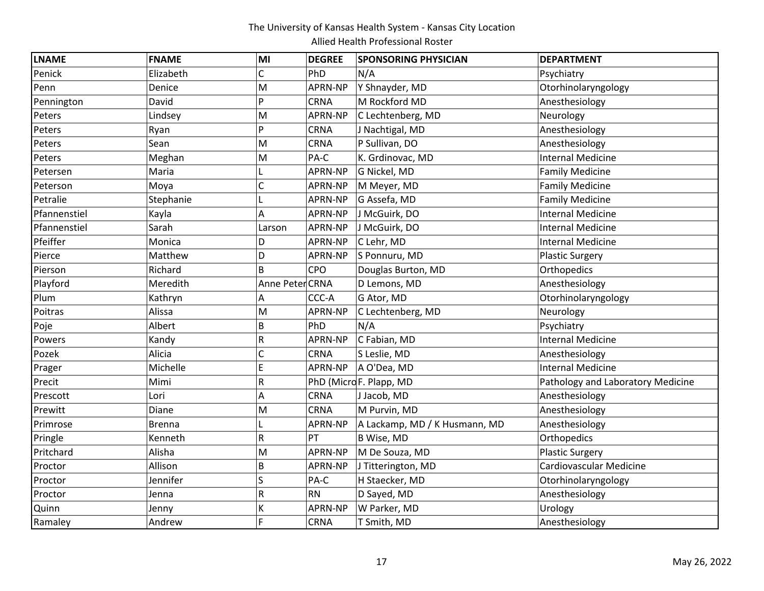| <b>LNAME</b> | <b>FNAME</b>  | MI              | <b>DEGREE</b> | <b>SPONSORING PHYSICIAN</b>   | <b>DEPARTMENT</b>                 |
|--------------|---------------|-----------------|---------------|-------------------------------|-----------------------------------|
| Penick       | Elizabeth     | C               | PhD           | N/A                           | Psychiatry                        |
| Penn         | Denice        | M               | APRN-NP       | Y Shnayder, MD                | Otorhinolaryngology               |
| Pennington   | David         | p               | CRNA          | M Rockford MD                 | Anesthesiology                    |
| Peters       | Lindsey       | M               | APRN-NP       | C Lechtenberg, MD             | Neurology                         |
| Peters       | Ryan          | P               | CRNA          | J Nachtigal, MD               | Anesthesiology                    |
| Peters       | Sean          | M               | CRNA          | P Sullivan, DO                | Anesthesiology                    |
| Peters       | Meghan        | M               | PA-C          | K. Grdinovac, MD              | <b>Internal Medicine</b>          |
| Petersen     | Maria         | L               | APRN-NP       | G Nickel, MD                  | <b>Family Medicine</b>            |
| Peterson     | Moya          | Ċ               | APRN-NP       | M Meyer, MD                   | <b>Family Medicine</b>            |
| Petralie     | Stephanie     |                 | APRN-NP       | G Assefa, MD                  | <b>Family Medicine</b>            |
| Pfannenstiel | Kayla         | Α               | APRN-NP       | J McGuirk, DO                 | <b>Internal Medicine</b>          |
| Pfannenstiel | Sarah         | Larson          | APRN-NP       | J McGuirk, DO                 | <b>Internal Medicine</b>          |
| Pfeiffer     | Monica        | D               | APRN-NP       | C Lehr, MD                    | <b>Internal Medicine</b>          |
| Pierce       | Matthew       | D               | APRN-NP       | S Ponnuru, MD                 | <b>Plastic Surgery</b>            |
| Pierson      | Richard       | B               | CPO           | Douglas Burton, MD            | Orthopedics                       |
| Playford     | Meredith      | Anne Peter CRNA |               | D Lemons, MD                  | Anesthesiology                    |
| Plum         | Kathryn       | Α               | CCC-A         | G Ator, MD                    | Otorhinolaryngology               |
| Poitras      | Alissa        | M               | APRN-NP       | C Lechtenberg, MD             | Neurology                         |
| Poje         | Albert        | B               | PhD           | N/A                           | Psychiatry                        |
| Powers       | Kandy         | R               | APRN-NP       | C Fabian, MD                  | <b>Internal Medicine</b>          |
| Pozek        | Alicia        | $\mathsf{C}$    | <b>CRNA</b>   | S Leslie, MD                  | Anesthesiology                    |
| Prager       | Michelle      | E               | APRN-NP       | A O'Dea, MD                   | <b>Internal Medicine</b>          |
| Precit       | Mimi          | R               |               | PhD (MicroF. Plapp, MD        | Pathology and Laboratory Medicine |
| Prescott     | Lori          | А               | CRNA          | J Jacob, MD                   | Anesthesiology                    |
| Prewitt      | Diane         | M               | CRNA          | M Purvin, MD                  | Anesthesiology                    |
| Primrose     | <b>Brenna</b> |                 | APRN-NP       | A Lackamp, MD / K Husmann, MD | Anesthesiology                    |
| Pringle      | Kenneth       | R               | PT            | B Wise, MD                    | Orthopedics                       |
| Pritchard    | Alisha        | M               | APRN-NP       | M De Souza, MD                | <b>Plastic Surgery</b>            |
| Proctor      | Allison       | B               | APRN-NP       | J Titterington, MD            | Cardiovascular Medicine           |
| Proctor      | Jennifer      | S               | PA-C          | H Staecker, MD                | Otorhinolaryngology               |
| Proctor      | Jenna         | R               | <b>RN</b>     | D Sayed, MD                   | Anesthesiology                    |
| Quinn        | Jenny         | K               | APRN-NP       | W Parker, MD                  | Urology                           |
| Ramaley      | Andrew        | F               | <b>CRNA</b>   | T Smith, MD                   | Anesthesiology                    |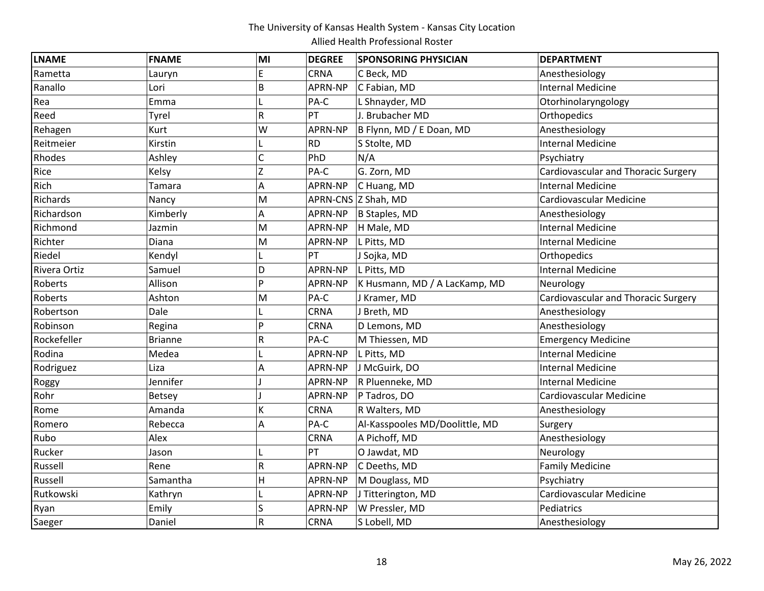| <b>LNAME</b> | <b>FNAME</b>   | MI | <b>DEGREE</b> | <b>SPONSORING PHYSICIAN</b>    | <b>DEPARTMENT</b>                   |
|--------------|----------------|----|---------------|--------------------------------|-------------------------------------|
| Rametta      | Lauryn         | E  | <b>CRNA</b>   | C Beck, MD                     | Anesthesiology                      |
| Ranallo      | Lori           | B  | APRN-NP       | C Fabian, MD                   | <b>Internal Medicine</b>            |
| Rea          | Emma           |    | PA-C          | L Shnayder, MD                 | Otorhinolaryngology                 |
| Reed         | Tyrel          | R  | PT            | J. Brubacher MD                | Orthopedics                         |
| Rehagen      | Kurt           | W  | APRN-NP       | B Flynn, MD / E Doan, MD       | Anesthesiology                      |
| Reitmeier    | Kirstin        |    | <b>RD</b>     | S Stolte, MD                   | <b>Internal Medicine</b>            |
| Rhodes       | Ashley         | C  | PhD           | N/A                            | Psychiatry                          |
| Rice         | Kelsy          | Z  | PA-C          | G. Zorn, MD                    | Cardiovascular and Thoracic Surgery |
| Rich         | Tamara         | A  | APRN-NP       | C Huang, MD                    | <b>Internal Medicine</b>            |
| Richards     | Nancy          | M  |               | APRN-CNS Z Shah, MD            | Cardiovascular Medicine             |
| Richardson   | Kimberly       | A  | APRN-NP       | B Staples, MD                  | Anesthesiology                      |
| Richmond     | Jazmin         | M  | APRN-NP       | H Male, MD                     | Internal Medicine                   |
| Richter      | Diana          | M  | APRN-NP       | L Pitts, MD                    | <b>Internal Medicine</b>            |
| Riedel       | Kendyl         |    | PT            | J Sojka, MD                    | Orthopedics                         |
| Rivera Ortiz | Samuel         | D  | APRN-NP       | L Pitts, MD                    | <b>Internal Medicine</b>            |
| Roberts      | Allison        | P  | APRN-NP       | K Husmann, MD / A LacKamp, MD  | Neurology                           |
| Roberts      | Ashton         | M  | PA-C          | J Kramer, MD                   | Cardiovascular and Thoracic Surgery |
| Robertson    | Dale           |    | CRNA          | J Breth, MD                    | Anesthesiology                      |
| Robinson     | Regina         | Þ  | CRNA          | D Lemons, MD                   | Anesthesiology                      |
| Rockefeller  | <b>Brianne</b> | R  | PA-C          | M Thiessen, MD                 | <b>Emergency Medicine</b>           |
| Rodina       | Medea          |    | APRN-NP       | L Pitts, MD                    | <b>Internal Medicine</b>            |
| Rodriguez    | Liza           | A  | APRN-NP       | J McGuirk, DO                  | <b>Internal Medicine</b>            |
| Roggy        | Jennifer       |    | APRN-NP       | R Pluenneke, MD                | <b>Internal Medicine</b>            |
| Rohr         | <b>Betsey</b>  |    | APRN-NP       | P Tadros, DO                   | Cardiovascular Medicine             |
| Rome         | Amanda         | K  | CRNA          | R Walters, MD                  | Anesthesiology                      |
| Romero       | Rebecca        | A  | PA-C          | Al-Kasspooles MD/Doolittle, MD | Surgery                             |
| Rubo         | Alex           |    | <b>CRNA</b>   | A Pichoff, MD                  | Anesthesiology                      |
| Rucker       | Jason          |    | PT            | O Jawdat, MD                   | Neurology                           |
| Russell      | Rene           | R  | APRN-NP       | C Deeths, MD                   | <b>Family Medicine</b>              |
| Russell      | Samantha       | H  | APRN-NP       | M Douglass, MD                 | Psychiatry                          |
| Rutkowski    | Kathryn        |    | APRN-NP       | J Titterington, MD             | Cardiovascular Medicine             |
| Ryan         | Emily          | S  | APRN-NP       | W Pressler, MD                 | Pediatrics                          |
| Saeger       | Daniel         | R  | <b>CRNA</b>   | S Lobell, MD                   | Anesthesiology                      |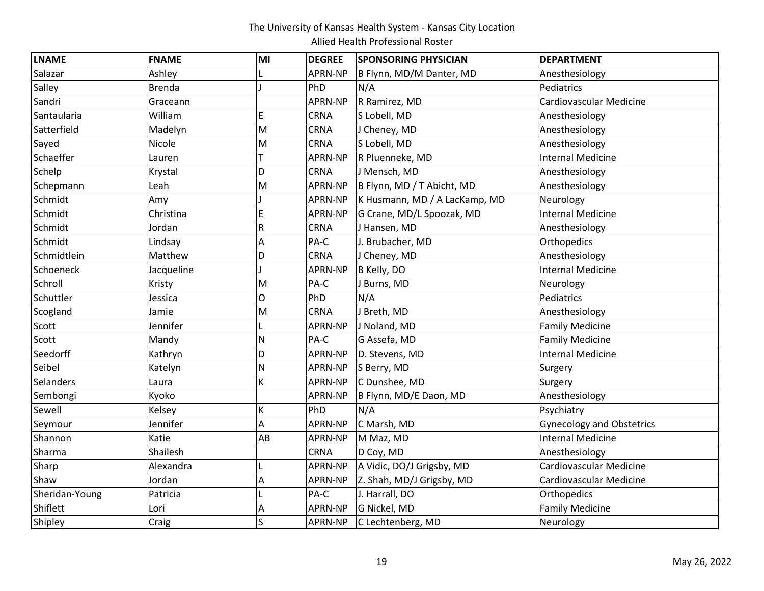| <b>LNAME</b>   | <b>FNAME</b>  | MI                      | <b>DEGREE</b> | <b>SPONSORING PHYSICIAN</b>   | <b>DEPARTMENT</b>                |
|----------------|---------------|-------------------------|---------------|-------------------------------|----------------------------------|
| Salazar        | Ashley        |                         | APRN-NP       | B Flynn, MD/M Danter, MD      | Anesthesiology                   |
| Salley         | <b>Brenda</b> |                         | PhD           | N/A                           | Pediatrics                       |
| Sandri         | Graceann      |                         | APRN-NP       | R Ramirez, MD                 | Cardiovascular Medicine          |
| Santaularia    | William       | E                       | CRNA          | S Lobell, MD                  | Anesthesiology                   |
| Satterfield    | Madelyn       | M                       | CRNA          | J Cheney, MD                  | Anesthesiology                   |
| Sayed          | Nicole        | M                       | CRNA          | S Lobell, MD                  | Anesthesiology                   |
| Schaeffer      | Lauren        |                         | APRN-NP       | R Pluenneke, MD               | <b>Internal Medicine</b>         |
| Schelp         | Krystal       | D                       | <b>CRNA</b>   | J Mensch, MD                  | Anesthesiology                   |
| Schepmann      | Leah          | M                       | APRN-NP       | B Flynn, MD / T Abicht, MD    | Anesthesiology                   |
| Schmidt        | Amy           |                         | APRN-NP       | K Husmann, MD / A LacKamp, MD | Neurology                        |
| Schmidt        | Christina     | E                       | APRN-NP       | G Crane, MD/L Spoozak, MD     | <b>Internal Medicine</b>         |
| Schmidt        | Jordan        | R                       | <b>CRNA</b>   | J Hansen, MD                  | Anesthesiology                   |
| Schmidt        | Lindsay       | Α                       | PA-C          | J. Brubacher, MD              | Orthopedics                      |
| Schmidtlein    | Matthew       | D                       | CRNA          | J Cheney, MD                  | Anesthesiology                   |
| Schoeneck      | Jacqueline    |                         | APRN-NP       | B Kelly, DO                   | <b>Internal Medicine</b>         |
| Schroll        | Kristy        | M                       | PA-C          | J Burns, MD                   | Neurology                        |
| Schuttler      | Jessica       | O                       | PhD           | N/A                           | Pediatrics                       |
| Scogland       | Jamie         | M                       | <b>CRNA</b>   | J Breth, MD                   | Anesthesiology                   |
| Scott          | Jennifer      | L                       | APRN-NP       | J Noland, MD                  | <b>Family Medicine</b>           |
| Scott          | Mandy         | N                       | PA-C          | G Assefa, MD                  | <b>Family Medicine</b>           |
| Seedorff       | Kathryn       | D                       | APRN-NP       | D. Stevens, MD                | <b>Internal Medicine</b>         |
| Seibel         | Katelyn       | N                       | APRN-NP       | S Berry, MD                   | Surgery                          |
| Selanders      | Laura         | K                       | APRN-NP       | C Dunshee, MD                 | Surgery                          |
| Sembongi       | Kyoko         |                         | APRN-NP       | B Flynn, MD/E Daon, MD        | Anesthesiology                   |
| Sewell         | Kelsey        | K                       | PhD           | N/A                           | Psychiatry                       |
| Seymour        | Jennifer      | A                       | APRN-NP       | C Marsh, MD                   | <b>Gynecology and Obstetrics</b> |
| Shannon        | Katie         | AB                      | APRN-NP       | M Maz, MD                     | <b>Internal Medicine</b>         |
| Sharma         | Shailesh      |                         | <b>CRNA</b>   | D Coy, MD                     | Anesthesiology                   |
| Sharp          | Alexandra     |                         | APRN-NP       | A Vidic, DO/J Grigsby, MD     | Cardiovascular Medicine          |
| Shaw           | Jordan        | A                       | APRN-NP       | Z. Shah, MD/J Grigsby, MD     | Cardiovascular Medicine          |
| Sheridan-Young | Patricia      |                         | PA-C          | J. Harrall, DO                | Orthopedics                      |
| Shiflett       | Lori          | Α                       | APRN-NP       | G Nickel, MD                  | <b>Family Medicine</b>           |
| Shipley        | Craig         | $\overline{\mathsf{S}}$ | APRN-NP       | C Lechtenberg, MD             | Neurology                        |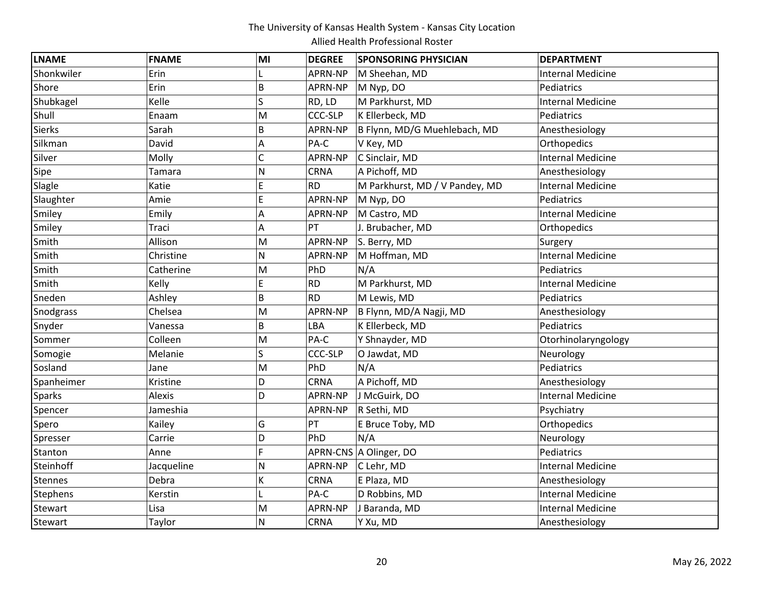| <b>LNAME</b>    | <b>FNAME</b> | MI             | <b>DEGREE</b>  | <b>SPONSORING PHYSICIAN</b>    | <b>DEPARTMENT</b>        |
|-----------------|--------------|----------------|----------------|--------------------------------|--------------------------|
| Shonkwiler      | Erin         |                | APRN-NP        | M Sheehan, MD                  | <b>Internal Medicine</b> |
| Shore           | Erin         | B              | APRN-NP        | M Nyp, DO                      | Pediatrics               |
| Shubkagel       | Kelle        | S              | RD, LD         | M Parkhurst, MD                | <b>Internal Medicine</b> |
| Shull           | Enaam        | M              | <b>CCC-SLP</b> | K Ellerbeck, MD                | Pediatrics               |
| <b>Sierks</b>   | Sarah        | B              | APRN-NP        | B Flynn, MD/G Muehlebach, MD   | Anesthesiology           |
| Silkman         | David        | A              | PA-C           | V Key, MD                      | Orthopedics              |
| Silver          | Molly        | $\overline{C}$ | APRN-NP        | C Sinclair, MD                 | <b>Internal Medicine</b> |
| Sipe            | Tamara       | N              | CRNA           | A Pichoff, MD                  | Anesthesiology           |
| Slagle          | Katie        | E              | <b>RD</b>      | M Parkhurst, MD / V Pandey, MD | <b>Internal Medicine</b> |
| Slaughter       | Amie         | E              | APRN-NP        | M Nyp, DO                      | Pediatrics               |
| Smiley          | Emily        | A              | APRN-NP        | M Castro, MD                   | <b>Internal Medicine</b> |
| Smiley          | Traci        | Α              | PT             | J. Brubacher, MD               | Orthopedics              |
| Smith           | Allison      | M              | APRN-NP        | S. Berry, MD                   | Surgery                  |
| Smith           | Christine    | N              | APRN-NP        | M Hoffman, MD                  | <b>Internal Medicine</b> |
| Smith           | Catherine    | M              | PhD            | N/A                            | Pediatrics               |
| Smith           | Kelly        | E              | <b>RD</b>      | M Parkhurst, MD                | <b>Internal Medicine</b> |
| Sneden          | Ashley       | B              | <b>RD</b>      | M Lewis, MD                    | Pediatrics               |
| Snodgrass       | Chelsea      | M              | APRN-NP        | B Flynn, MD/A Nagji, MD        | Anesthesiology           |
| Snyder          | Vanessa      | B              | LBA            | K Ellerbeck, MD                | Pediatrics               |
| Sommer          | Colleen      | M              | PA-C           | Y Shnayder, MD                 | Otorhinolaryngology      |
| Somogie         | Melanie      | S              | <b>CCC-SLP</b> | O Jawdat, MD                   | Neurology                |
| Sosland         | Jane         | M              | PhD            | N/A                            | Pediatrics               |
| Spanheimer      | Kristine     | D              | CRNA           | A Pichoff, MD                  | Anesthesiology           |
| <b>Sparks</b>   | Alexis       | D              | APRN-NP        | J McGuirk, DO                  | <b>Internal Medicine</b> |
| Spencer         | Jameshia     |                | APRN-NP        | R Sethi, MD                    | Psychiatry               |
| Spero           | Kailey       | G              | PT             | E Bruce Toby, MD               | Orthopedics              |
| Spresser        | Carrie       | D              | PhD            | N/A                            | Neurology                |
| Stanton         | Anne         | Ë              |                | APRN-CNS A Olinger, DO         | Pediatrics               |
| Steinhoff       | Jacqueline   | N              | APRN-NP        | C Lehr, MD                     | <b>Internal Medicine</b> |
| <b>Stennes</b>  | Debra        | K              | CRNA           | E Plaza, MD                    | Anesthesiology           |
| <b>Stephens</b> | Kerstin      |                | PA-C           | D Robbins, MD                  | <b>Internal Medicine</b> |
| Stewart         | Lisa         | M              | APRN-NP        | J Baranda, MD                  | <b>Internal Medicine</b> |
| Stewart         | Taylor       | N              | <b>CRNA</b>    | Y Xu, MD                       | Anesthesiology           |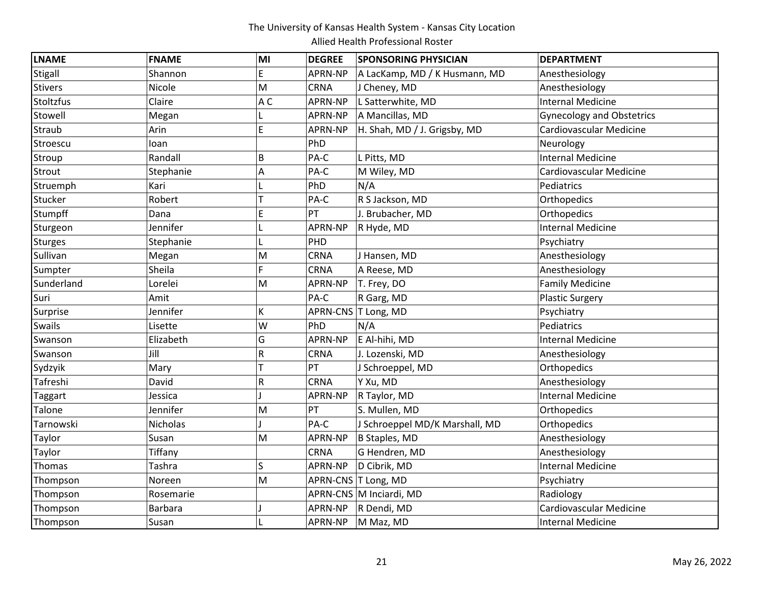| <b>LNAME</b>   | <b>FNAME</b>   | MI             | <b>DEGREE</b> | <b>SPONSORING PHYSICIAN</b>    | <b>DEPARTMENT</b>                |
|----------------|----------------|----------------|---------------|--------------------------------|----------------------------------|
| Stigall        | Shannon        | E              | APRN-NP       | A LacKamp, MD / K Husmann, MD  | Anesthesiology                   |
| <b>Stivers</b> | Nicole         | M              | <b>CRNA</b>   | J Cheney, MD                   | Anesthesiology                   |
| Stoltzfus      | Claire         | A <sub>C</sub> | APRN-NP       | L Satterwhite, MD              | <b>Internal Medicine</b>         |
| Stowell        | Megan          |                | APRN-NP       | A Mancillas, MD                | <b>Gynecology and Obstetrics</b> |
| Straub         | Arin           | E              | APRN-NP       | H. Shah, MD / J. Grigsby, MD   | Cardiovascular Medicine          |
| Stroescu       | loan           |                | PhD           |                                | Neurology                        |
| Stroup         | Randall        | B              | PA-C          | L Pitts, MD                    | <b>Internal Medicine</b>         |
| Strout         | Stephanie      | A              | PA-C          | M Wiley, MD                    | Cardiovascular Medicine          |
| Struemph       | Kari           |                | PhD           | N/A                            | Pediatrics                       |
| Stucker        | Robert         |                | PA-C          | R S Jackson, MD                | Orthopedics                      |
| Stumpff        | Dana           | Ė              | PT            | J. Brubacher, MD               | Orthopedics                      |
| Sturgeon       | Jennifer       |                | APRN-NP       | R Hyde, MD                     | <b>Internal Medicine</b>         |
| Sturges        | Stephanie      |                | PHD           |                                | Psychiatry                       |
| Sullivan       | Megan          | M              | CRNA          | J Hansen, MD                   | Anesthesiology                   |
| Sumpter        | Sheila         | Ē              | CRNA          | A Reese, MD                    | Anesthesiology                   |
| Sunderland     | Lorelei        | M              | APRN-NP       | T. Frey, DO                    | <b>Family Medicine</b>           |
| Suri           | Amit           |                | PA-C          | R Garg, MD                     | <b>Plastic Surgery</b>           |
| Surprise       | Jennifer       | K              |               | APRN-CNS T Long, MD            | Psychiatry                       |
| Swails         | Lisette        | W              | PhD           | N/A                            | Pediatrics                       |
| Swanson        | Elizabeth      | G              | APRN-NP       | E Al-hihi, MD                  | <b>Internal Medicine</b>         |
| Swanson        | Jill           | R              | <b>CRNA</b>   | J. Lozenski, MD                | Anesthesiology                   |
| Sydzyik        | Mary           |                | PT            | J Schroeppel, MD               | Orthopedics                      |
| Tafreshi       | David          | R              | <b>CRNA</b>   | Y Xu, MD                       | Anesthesiology                   |
| <b>Taggart</b> | Jessica        |                | APRN-NP       | R Taylor, MD                   | <b>Internal Medicine</b>         |
| Talone         | Jennifer       | M              | PT            | S. Mullen, MD                  | Orthopedics                      |
| Tarnowski      | Nicholas       |                | PA-C          | J Schroeppel MD/K Marshall, MD | Orthopedics                      |
| Taylor         | Susan          | M              | APRN-NP       | B Staples, MD                  | Anesthesiology                   |
| Taylor         | Tiffany        |                | <b>CRNA</b>   | G Hendren, MD                  | Anesthesiology                   |
| Thomas         | Tashra         | S              | APRN-NP       | D Cibrik, MD                   | <b>Internal Medicine</b>         |
| Thompson       | Noreen         | M              |               | APRN-CNS T Long, MD            | Psychiatry                       |
| Thompson       | Rosemarie      |                |               | APRN-CNS M Inciardi, MD        | Radiology                        |
| Thompson       | <b>Barbara</b> |                | APRN-NP       | R Dendi, MD                    | Cardiovascular Medicine          |
| Thompson       | Susan          |                |               | APRN-NP   M Maz, MD            | <b>Internal Medicine</b>         |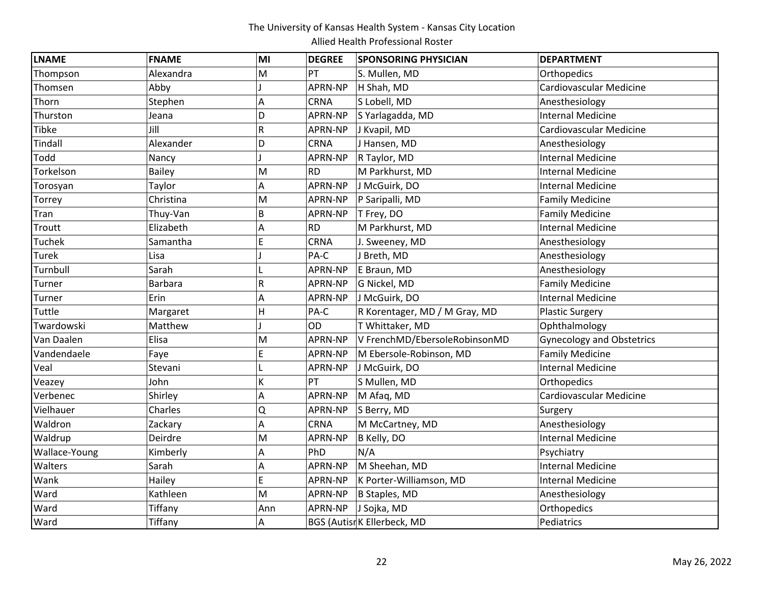| <b>LNAME</b>  | <b>FNAME</b>   | MI  | <b>DEGREE</b> | <b>SPONSORING PHYSICIAN</b>   | <b>DEPARTMENT</b>                |
|---------------|----------------|-----|---------------|-------------------------------|----------------------------------|
| Thompson      | Alexandra      | M   | PT            | S. Mullen, MD                 | Orthopedics                      |
| Thomsen       | Abby           |     | APRN-NP       | H Shah, MD                    | Cardiovascular Medicine          |
| Thorn         | Stephen        | Α   | CRNA          | S Lobell, MD                  | Anesthesiology                   |
| Thurston      | Jeana          | D   | APRN-NP       | S Yarlagadda, MD              | <b>Internal Medicine</b>         |
| Tibke         | Jill           | R   | APRN-NP       | J Kvapil, MD                  | Cardiovascular Medicine          |
| Tindall       | Alexander      | D   | <b>CRNA</b>   | J Hansen, MD                  | Anesthesiology                   |
| Todd          | Nancy          |     | APRN-NP       | R Taylor, MD                  | <b>Internal Medicine</b>         |
| Torkelson     | <b>Bailey</b>  | M   | <b>RD</b>     | M Parkhurst, MD               | <b>Internal Medicine</b>         |
| Torosyan      | Taylor         | A   | APRN-NP       | J McGuirk, DO                 | <b>Internal Medicine</b>         |
| Torrey        | Christina      | M   | APRN-NP       | P Saripalli, MD               | <b>Family Medicine</b>           |
| Tran          | Thuy-Van       | B   | APRN-NP       | T Frey, DO                    | <b>Family Medicine</b>           |
| Troutt        | Elizabeth      | A   | <b>RD</b>     | M Parkhurst, MD               | <b>Internal Medicine</b>         |
| Tuchek        | Samantha       | E   | CRNA          | J. Sweeney, MD                | Anesthesiology                   |
| Turek         | Lisa           |     | PA-C          | J Breth, MD                   | Anesthesiology                   |
| Turnbull      | Sarah          |     | APRN-NP       | E Braun, MD                   | Anesthesiology                   |
| Turner        | <b>Barbara</b> | R   | APRN-NP       | G Nickel, MD                  | <b>Family Medicine</b>           |
| Turner        | Erin           | A   | APRN-NP       | J McGuirk, DO                 | <b>Internal Medicine</b>         |
| Tuttle        | Margaret       | H   | PA-C          | R Korentager, MD / M Gray, MD | <b>Plastic Surgery</b>           |
| Twardowski    | Matthew        |     | <b>OD</b>     | T Whittaker, MD               | Ophthalmology                    |
| Van Daalen    | Elisa          | M   | APRN-NP       | V FrenchMD/EbersoleRobinsonMD | <b>Gynecology and Obstetrics</b> |
| Vandendaele   | Faye           | E   | APRN-NP       | M Ebersole-Robinson, MD       | <b>Family Medicine</b>           |
| Veal          | Stevani        |     | APRN-NP       | J McGuirk, DO                 | <b>Internal Medicine</b>         |
| Veazey        | John           | K   | PT            | S Mullen, MD                  | Orthopedics                      |
| Verbenec      | Shirley        | Α   | APRN-NP       | M Afaq, MD                    | Cardiovascular Medicine          |
| Vielhauer     | Charles        | Q   | APRN-NP       | S Berry, MD                   | Surgery                          |
| Waldron       | Zackary        | A   | <b>CRNA</b>   | M McCartney, MD               | Anesthesiology                   |
| Waldrup       | Deirdre        | M   | APRN-NP       | B Kelly, DO                   | <b>Internal Medicine</b>         |
| Wallace-Young | Kimberly       | Α   | PhD           | N/A                           | Psychiatry                       |
| Walters       | Sarah          | Α   | APRN-NP       | M Sheehan, MD                 | <b>Internal Medicine</b>         |
| Wank          | Hailey         | E   | APRN-NP       | K Porter-Williamson, MD       | <b>Internal Medicine</b>         |
| Ward          | Kathleen       | M   | APRN-NP       | B Staples, MD                 | Anesthesiology                   |
| Ward          | Tiffany        | Ann | APRN-NP       | J Sojka, MD                   | Orthopedics                      |
| Ward          | Tiffany        | A   |               | BGS (Autisr K Ellerbeck, MD   | Pediatrics                       |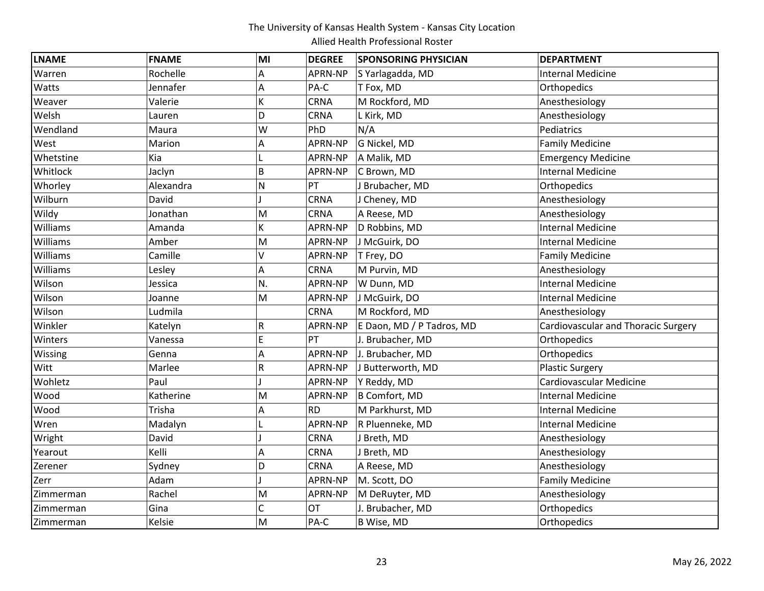| <b>LNAME</b> | <b>FNAME</b> | MI | <b>DEGREE</b>  | <b>SPONSORING PHYSICIAN</b> | <b>DEPARTMENT</b>                   |
|--------------|--------------|----|----------------|-----------------------------|-------------------------------------|
| Warren       | Rochelle     | Α  | APRN-NP        | S Yarlagadda, MD            | <b>Internal Medicine</b>            |
| Watts        | Jennafer     | A  | PA-C           | T Fox, MD                   | Orthopedics                         |
| Weaver       | Valerie      | K  | CRNA           | M Rockford, MD              | Anesthesiology                      |
| Welsh        | Lauren       | D  | CRNA           | L Kirk, MD                  | Anesthesiology                      |
| Wendland     | Maura        | W  | PhD            | N/A                         | Pediatrics                          |
| West         | Marion       | A  | <b>APRN-NP</b> | G Nickel, MD                | <b>Family Medicine</b>              |
| Whetstine    | Kia          |    | APRN-NP        | A Malik, MD                 | <b>Emergency Medicine</b>           |
| Whitlock     | Jaclyn       | B  | <b>APRN-NP</b> | C Brown, MD                 | <b>Internal Medicine</b>            |
| Whorley      | Alexandra    | N  | PT             | J Brubacher, MD             | Orthopedics                         |
| Wilburn      | David        |    | CRNA           | J Cheney, MD                | Anesthesiology                      |
| Wildy        | Jonathan     | M  | <b>CRNA</b>    | A Reese, MD                 | Anesthesiology                      |
| Williams     | Amanda       | K  | APRN-NP        | D Robbins, MD               | <b>Internal Medicine</b>            |
| Williams     | Amber        | M  | APRN-NP        | J McGuirk, DO               | <b>Internal Medicine</b>            |
| Williams     | Camille      | V  | APRN-NP        | T Frey, DO                  | <b>Family Medicine</b>              |
| Williams     | Lesley       | A  | <b>CRNA</b>    | M Purvin, MD                | Anesthesiology                      |
| Wilson       | Jessica      | N. | APRN-NP        | W Dunn, MD                  | <b>Internal Medicine</b>            |
| Wilson       | Joanne       | M  | APRN-NP        | J McGuirk, DO               | <b>Internal Medicine</b>            |
| Wilson       | Ludmila      |    | <b>CRNA</b>    | M Rockford, MD              | Anesthesiology                      |
| Winkler      | Katelyn      | R  | APRN-NP        | E Daon, MD / P Tadros, MD   | Cardiovascular and Thoracic Surgery |
| Winters      | Vanessa      | E  | PT             | J. Brubacher, MD            | Orthopedics                         |
| Wissing      | Genna        | A  | APRN-NP        | J. Brubacher, MD            | Orthopedics                         |
| Witt         | Marlee       | R  | APRN-NP        | J Butterworth, MD           | <b>Plastic Surgery</b>              |
| Wohletz      | Paul         |    | APRN-NP        | Y Reddy, MD                 | Cardiovascular Medicine             |
| Wood         | Katherine    | M  | APRN-NP        | B Comfort, MD               | <b>Internal Medicine</b>            |
| Wood         | Trisha       | Α  | <b>RD</b>      | M Parkhurst, MD             | <b>Internal Medicine</b>            |
| Wren         | Madalyn      |    | APRN-NP        | R Pluenneke, MD             | <b>Internal Medicine</b>            |
| Wright       | David        |    | CRNA           | J Breth, MD                 | Anesthesiology                      |
| Yearout      | Kelli        | Α  | CRNA           | J Breth, MD                 | Anesthesiology                      |
| Zerener      | Sydney       | D  | CRNA           | A Reese, MD                 | Anesthesiology                      |
| Zerr         | Adam         |    | APRN-NP        | M. Scott, DO                | <b>Family Medicine</b>              |
| Zimmerman    | Rachel       | M  | APRN-NP        | M DeRuyter, MD              | Anesthesiology                      |
| Zimmerman    | Gina         | C  | OT             | J. Brubacher, MD            | Orthopedics                         |
| Zimmerman    | Kelsie       | M  | PA-C           | B Wise, MD                  | Orthopedics                         |